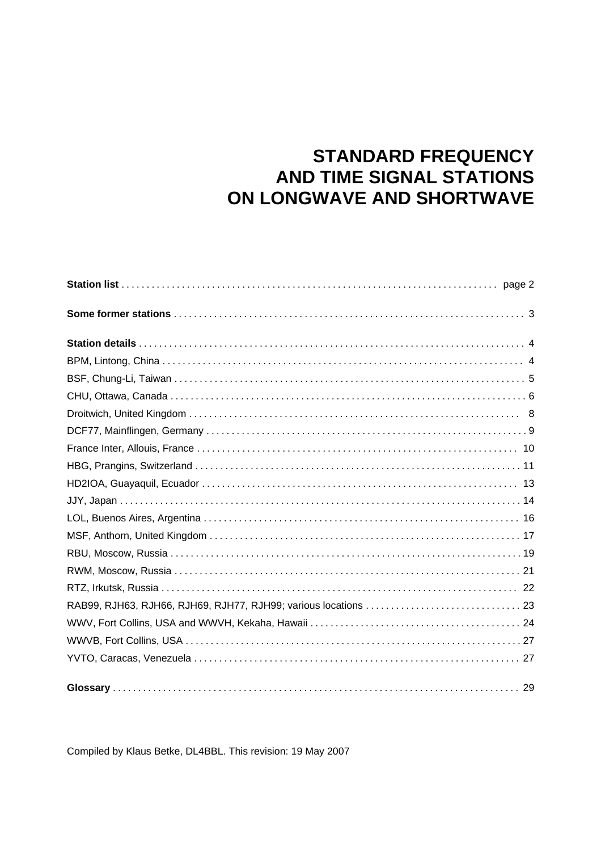# **STANDARD FREQUENCY AND TIME SIGNAL STATIONS** ON LONGWAVE AND SHORTWAVE

Compiled by Klaus Betke, DL4BBL. This revision: 19 May 2007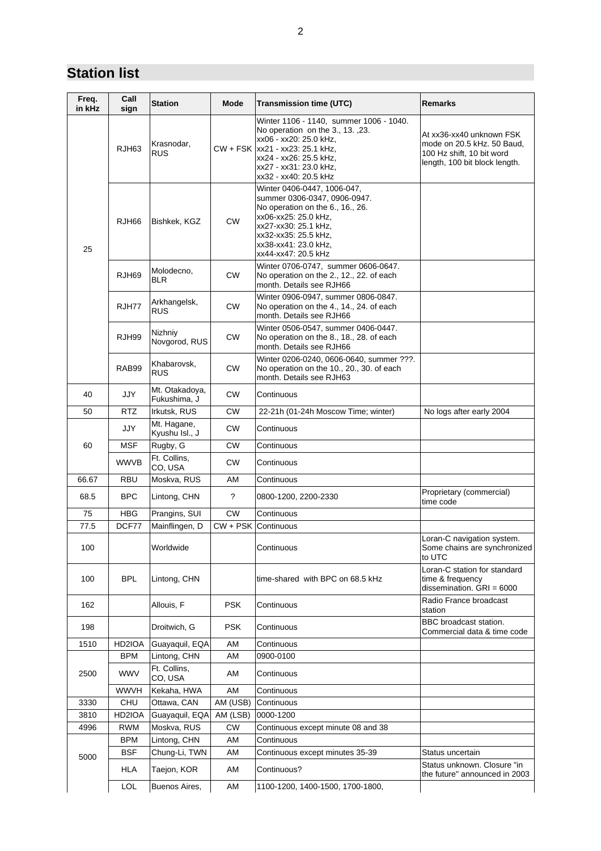### **Station list**

| Freq.<br>in kHz | Call<br>sign | <b>Station</b>                 | Mode           | <b>Transmission time (UTC)</b>                                                                                                                                                                                         | Remarks                                                                                                              |
|-----------------|--------------|--------------------------------|----------------|------------------------------------------------------------------------------------------------------------------------------------------------------------------------------------------------------------------------|----------------------------------------------------------------------------------------------------------------------|
|                 | RJH63        | Krasnodar,<br><b>RUS</b>       |                | Winter 1106 - 1140. summer 1006 - 1040.<br>No operation on the 3., 13., 23.<br>xx06 - xx20: 25.0 kHz,<br>CW + FSK  xx21 - xx23: 25.1 kHz,<br>xx24 - xx26: 25.5 kHz,<br>xx27 - xx31: 23.0 kHz,<br>xx32 - xx40: 20.5 kHz | At xx36-xx40 unknown FSK<br>mode on 20.5 kHz. 50 Baud,<br>100 Hz shift, 10 bit word<br>length, 100 bit block length. |
| 25              | RJH66        | Bishkek, KGZ                   | <b>CW</b>      | Winter 0406-0447, 1006-047,<br>summer 0306-0347, 0906-0947.<br>No operation on the 6., 16., 26.<br>xx06-xx25: 25.0 kHz,<br>xx27-xx30: 25.1 kHz,<br>xx32-xx35: 25.5 kHz,<br>xx38-xx41: 23.0 kHz,<br>xx44-xx47: 20.5 kHz |                                                                                                                      |
|                 | RJH69        | Molodecno,<br><b>BLR</b>       | <b>CW</b>      | Winter 0706-0747, summer 0606-0647.<br>No operation on the 2., 12., 22. of each<br>month. Details see RJH66                                                                                                            |                                                                                                                      |
|                 | RJH77        | Arkhangelsk,<br><b>RUS</b>     | <b>CW</b>      | Winter 0906-0947, summer 0806-0847.<br>No operation on the 4., 14., 24. of each<br>month. Details see RJH66                                                                                                            |                                                                                                                      |
|                 | RJH99        | Nizhniy<br>Novgorod, RUS       | <b>CW</b>      | Winter 0506-0547, summer 0406-0447.<br>No operation on the 8., 18., 28. of each<br>month. Details see RJH66                                                                                                            |                                                                                                                      |
|                 | RAB99        | Khabarovsk,<br><b>RUS</b>      | <b>CW</b>      | Winter 0206-0240, 0606-0640, summer ???.<br>No operation on the 10., 20., 30. of each<br>month. Details see RJH63                                                                                                      |                                                                                                                      |
| 40              | <b>JJY</b>   | Mt. Otakadoya,<br>Fukushima, J | <b>CW</b>      | Continuous                                                                                                                                                                                                             |                                                                                                                      |
| 50              | <b>RTZ</b>   | Irkutsk, RUS                   | СW             | 22-21h (01-24h Moscow Time; winter)                                                                                                                                                                                    | No logs after early 2004                                                                                             |
|                 | JJY          | Mt. Hagane,<br>Kyushu Isl., J  | <b>CW</b>      | Continuous                                                                                                                                                                                                             |                                                                                                                      |
| 60              | MSF          | Rugby, G                       | <b>CW</b>      | Continuous                                                                                                                                                                                                             |                                                                                                                      |
|                 | <b>WWVB</b>  | Ft. Collins,<br>CO, USA        | <b>CW</b>      | Continuous                                                                                                                                                                                                             |                                                                                                                      |
| 66.67           | RBU          | Moskva, RUS                    | AM             | Continuous                                                                                                                                                                                                             |                                                                                                                      |
| 68.5            | <b>BPC</b>   | Lintong, CHN                   | $\overline{?}$ | 0800-1200, 2200-2330                                                                                                                                                                                                   | Proprietary (commercial)<br>time code                                                                                |
| 75              | HBG          | Prangins, SUI                  | <b>CW</b>      | Continuous                                                                                                                                                                                                             |                                                                                                                      |
| 77.5            | DCF77        | Mainflingen, D                 | CW + PSK       | Continuous                                                                                                                                                                                                             |                                                                                                                      |
| 100             |              | Worldwide                      |                | Continuous                                                                                                                                                                                                             | Loran-C navigation system.<br>Some chains are synchronized<br>to UTC                                                 |
| 100             | <b>BPL</b>   | Lintong, CHN                   |                | time-shared with BPC on 68.5 kHz                                                                                                                                                                                       | Loran-C station for standard<br>time & frequency<br>dissemination. $GRI = 6000$                                      |
| 162             |              | Allouis, F                     | <b>PSK</b>     | Continuous                                                                                                                                                                                                             | Radio France broadcast<br>station                                                                                    |
| 198             |              | Droitwich, G                   | <b>PSK</b>     | Continuous                                                                                                                                                                                                             | BBC broadcast station.<br>Commercial data & time code                                                                |
| 1510            | HD2IOA       | Guayaquil, EQA                 | AM             | Continuous                                                                                                                                                                                                             |                                                                                                                      |
|                 | <b>BPM</b>   | Lintong, CHN                   | AM             | 0900-0100                                                                                                                                                                                                              |                                                                                                                      |
| 2500            | <b>WWV</b>   | Ft. Collins,<br>CO, USA        | AM             | Continuous                                                                                                                                                                                                             |                                                                                                                      |
|                 | WWVH         | Kekaha, HWA                    | AM             | Continuous                                                                                                                                                                                                             |                                                                                                                      |
| 3330            | CHU          | Ottawa, CAN                    | AM (USB)       | Continuous                                                                                                                                                                                                             |                                                                                                                      |
| 3810            | HD2IOA       | Guayaquil, EQA                 | AM (LSB)       | 0000-1200                                                                                                                                                                                                              |                                                                                                                      |
| 4996            | <b>RWM</b>   | Moskva, RUS                    | <b>CW</b>      | Continuous except minute 08 and 38                                                                                                                                                                                     |                                                                                                                      |
|                 | <b>BPM</b>   | Lintong, CHN                   | AM             | Continuous                                                                                                                                                                                                             |                                                                                                                      |
| 5000            | <b>BSF</b>   | Chung-Li, TWN                  | AM             | Continuous except minutes 35-39                                                                                                                                                                                        | Status uncertain                                                                                                     |
|                 | HLA          | Taejon, KOR                    | AM             | Continuous?                                                                                                                                                                                                            | Status unknown. Closure "in<br>the future" announced in 2003                                                         |
|                 | <b>LOL</b>   | Buenos Aires,                  | AM             | 1100-1200, 1400-1500, 1700-1800,                                                                                                                                                                                       |                                                                                                                      |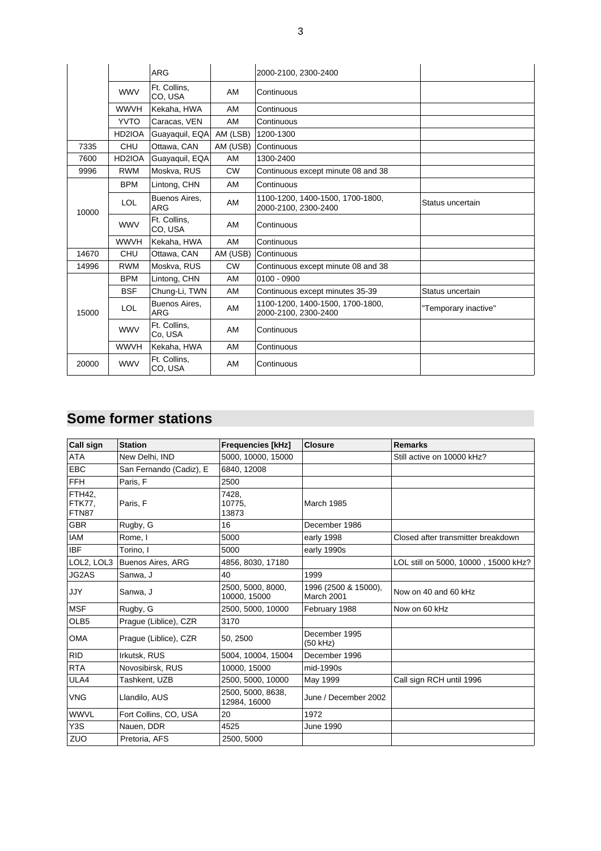|       |             | <b>ARG</b>                  |           | 2000-2100, 2300-2400                                     |                      |
|-------|-------------|-----------------------------|-----------|----------------------------------------------------------|----------------------|
|       | <b>WWV</b>  | Ft. Collins,<br>CO, USA     | AM        | Continuous                                               |                      |
|       | <b>WWVH</b> | Kekaha, HWA                 | AM        | Continuous                                               |                      |
|       | <b>YVTO</b> | Caracas, VEN                | AM        | Continuous                                               |                      |
|       | HD2IOA      | Guayaquil, EQA              | AM (LSB)  | 1200-1300                                                |                      |
| 7335  | <b>CHU</b>  | Ottawa, CAN                 | AM (USB)  | Continuous                                               |                      |
| 7600  | HD2IOA      | Guayaquil, EQA              | AM        | 1300-2400                                                |                      |
| 9996  | <b>RWM</b>  | Moskva, RUS                 | <b>CW</b> | Continuous except minute 08 and 38                       |                      |
|       | <b>BPM</b>  | Lintong, CHN                | AM        | Continuous                                               |                      |
| 10000 | <b>LOL</b>  | Buenos Aires,<br><b>ARG</b> | AM        | 1100-1200, 1400-1500, 1700-1800,<br>2000-2100, 2300-2400 | Status uncertain     |
|       | <b>WWV</b>  | Ft. Collins.<br>CO, USA     | AM        | Continuous                                               |                      |
|       | <b>WWVH</b> | Kekaha, HWA                 | AM        | Continuous                                               |                      |
| 14670 | <b>CHU</b>  | Ottawa, CAN                 | AM (USB)  | Continuous                                               |                      |
| 14996 | <b>RWM</b>  | Moskva, RUS                 | <b>CW</b> | Continuous except minute 08 and 38                       |                      |
|       | <b>BPM</b>  | Lintong, CHN                | AM        | $0100 - 0900$                                            |                      |
|       | <b>BSF</b>  | Chung-Li, TWN               | AM        | Continuous except minutes 35-39                          | Status uncertain     |
| 15000 | <b>LOL</b>  | Buenos Aires,<br><b>ARG</b> | AM        | 1100-1200, 1400-1500, 1700-1800,<br>2000-2100. 2300-2400 | "Temporary inactive" |
|       | <b>WWV</b>  | Ft. Collins,<br>Co, USA     | AM        | Continuous                                               |                      |
|       | <b>WWVH</b> | Kekaha, HWA                 | AM        | Continuous                                               |                      |
| 20000 | <b>WWV</b>  | Ft. Collins,<br>CO, USA     | AM        | Continuous                                               |                      |

### **Some former stations**

| <b>Call sign</b>                        | <b>Station</b>           | <b>Frequencies [kHz]</b>          | <b>Closure</b>                     | <b>Remarks</b>                       |
|-----------------------------------------|--------------------------|-----------------------------------|------------------------------------|--------------------------------------|
| <b>ATA</b>                              | New Delhi. IND           | 5000. 10000. 15000                |                                    | Still active on 10000 kHz?           |
| <b>EBC</b>                              | San Fernando (Cadiz), E  | 6840.12008                        |                                    |                                      |
| <b>FFH</b>                              | Paris, F                 | 2500                              |                                    |                                      |
| <b>FTH42.</b><br><b>FTK77.</b><br>FTN87 | Paris, F                 | 7428.<br>10775.<br>13873          | <b>March 1985</b>                  |                                      |
| <b>GBR</b>                              | Rugby, G                 | 16                                | December 1986                      |                                      |
| <b>IAM</b>                              | Rome. I                  | 5000                              | early 1998                         | Closed after transmitter breakdown   |
| <b>IBF</b>                              | Torino, I                | 5000                              | early 1990s                        |                                      |
| LOL2, LOL3                              | <b>Buenos Aires, ARG</b> | 4856, 8030, 17180                 |                                    | LOL still on 5000, 10000, 15000 kHz? |
| JG2AS                                   | Sanwa, J                 | 40                                | 1999                               |                                      |
| <b>JJY</b>                              | Sanwa, J                 | 2500, 5000, 8000,<br>10000, 15000 | 1996 (2500 & 15000),<br>March 2001 | Now on 40 and 60 kHz                 |
| <b>MSF</b>                              | Rugby, G                 | 2500. 5000. 10000                 | February 1988                      | Now on 60 kHz                        |
| OLB <sub>5</sub>                        | Prague (Liblice), CZR    | 3170                              |                                    |                                      |
| <b>OMA</b>                              | Praque (Liblice), CZR    | 50, 2500                          | December 1995<br>(50 kHz)          |                                      |
| <b>RID</b>                              | Irkutsk, RUS             | 5004. 10004. 15004                | December 1996                      |                                      |
| <b>RTA</b>                              | Novosibirsk, RUS         | 10000, 15000                      | mid-1990s                          |                                      |
| ULA4                                    | Tashkent, UZB            | 2500, 5000, 10000                 | May 1999                           | Call sign RCH until 1996             |
| <b>VNG</b>                              | Llandilo, AUS            | 2500, 5000, 8638,<br>12984, 16000 | June / December 2002               |                                      |
| <b>WWVL</b>                             | Fort Collins, CO, USA    | 20                                | 1972                               |                                      |
| Y <sub>3</sub> S                        | Nauen, DDR               | 4525                              | June 1990                          |                                      |
| ZUO                                     | Pretoria, AFS            | 2500, 5000                        |                                    |                                      |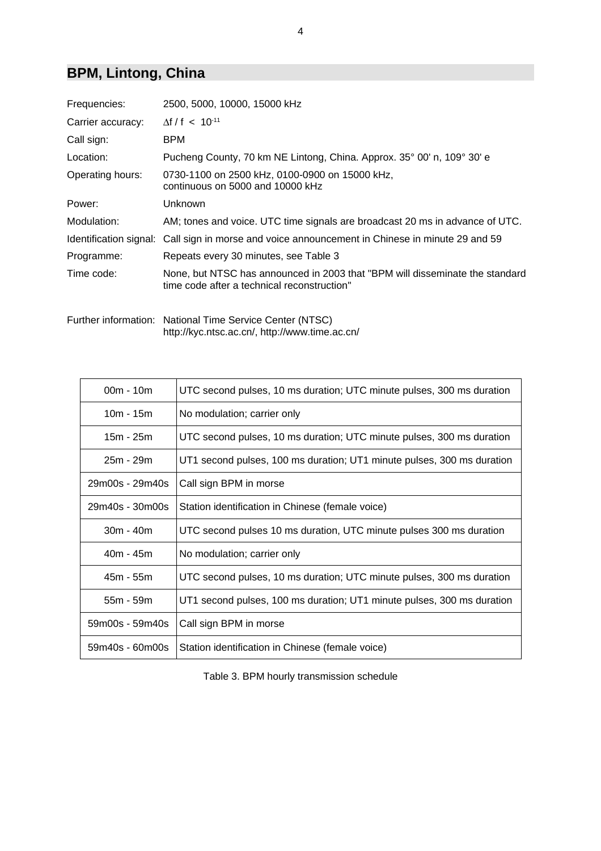# **BPM, Lintong, China**

| Frequencies:<br>2500, 5000, 10000, 15000 kHz<br>$\Delta f / f$ < 10 <sup>-11</sup><br>Call sign:<br><b>BPM</b><br>Pucheng County, 70 km NE Lintong, China. Approx. 35° 00' n, 109° 30' e<br>Location:<br>0730-1100 on 2500 kHz, 0100-0900 on 15000 kHz,<br>continuous on 5000 and 10000 kHz<br>Unknown<br>Power:<br>AM; tones and voice. UTC time signals are broadcast 20 ms in advance of UTC.<br>Identification signal: Call sign in morse and voice announcement in Chinese in minute 29 and 59<br>Repeats every 30 minutes, see Table 3<br>Programme:<br>Time code:<br>time code after a technical reconstruction" |                                                                              |
|-------------------------------------------------------------------------------------------------------------------------------------------------------------------------------------------------------------------------------------------------------------------------------------------------------------------------------------------------------------------------------------------------------------------------------------------------------------------------------------------------------------------------------------------------------------------------------------------------------------------------|------------------------------------------------------------------------------|
| Carrier accuracy:<br>Operating hours:<br>Modulation:                                                                                                                                                                                                                                                                                                                                                                                                                                                                                                                                                                    |                                                                              |
|                                                                                                                                                                                                                                                                                                                                                                                                                                                                                                                                                                                                                         |                                                                              |
|                                                                                                                                                                                                                                                                                                                                                                                                                                                                                                                                                                                                                         |                                                                              |
|                                                                                                                                                                                                                                                                                                                                                                                                                                                                                                                                                                                                                         |                                                                              |
|                                                                                                                                                                                                                                                                                                                                                                                                                                                                                                                                                                                                                         |                                                                              |
|                                                                                                                                                                                                                                                                                                                                                                                                                                                                                                                                                                                                                         |                                                                              |
|                                                                                                                                                                                                                                                                                                                                                                                                                                                                                                                                                                                                                         |                                                                              |
|                                                                                                                                                                                                                                                                                                                                                                                                                                                                                                                                                                                                                         |                                                                              |
|                                                                                                                                                                                                                                                                                                                                                                                                                                                                                                                                                                                                                         |                                                                              |
|                                                                                                                                                                                                                                                                                                                                                                                                                                                                                                                                                                                                                         | None, but NTSC has announced in 2003 that "BPM will disseminate the standard |

Further information: National Time Service Center (NTSC) http://kyc.ntsc.ac.cn/, http://www.time.ac.cn/

| $00m - 10m$     | UTC second pulses, 10 ms duration; UTC minute pulses, 300 ms duration  |
|-----------------|------------------------------------------------------------------------|
| $10m - 15m$     | No modulation; carrier only                                            |
| 15m - 25m       | UTC second pulses, 10 ms duration; UTC minute pulses, 300 ms duration  |
| 25m - 29m       | UT1 second pulses, 100 ms duration; UT1 minute pulses, 300 ms duration |
| 29m00s - 29m40s | Call sign BPM in morse                                                 |
| 29m40s - 30m00s | Station identification in Chinese (female voice)                       |
|                 |                                                                        |
| $30m - 40m$     | UTC second pulses 10 ms duration, UTC minute pulses 300 ms duration    |
| $40m - 45m$     | No modulation; carrier only                                            |
| 45m - 55m       | UTC second pulses, 10 ms duration; UTC minute pulses, 300 ms duration  |
| $55m - 59m$     | UT1 second pulses, 100 ms duration; UT1 minute pulses, 300 ms duration |
| 59m00s - 59m40s | Call sign BPM in morse                                                 |

Table 3. BPM hourly transmission schedule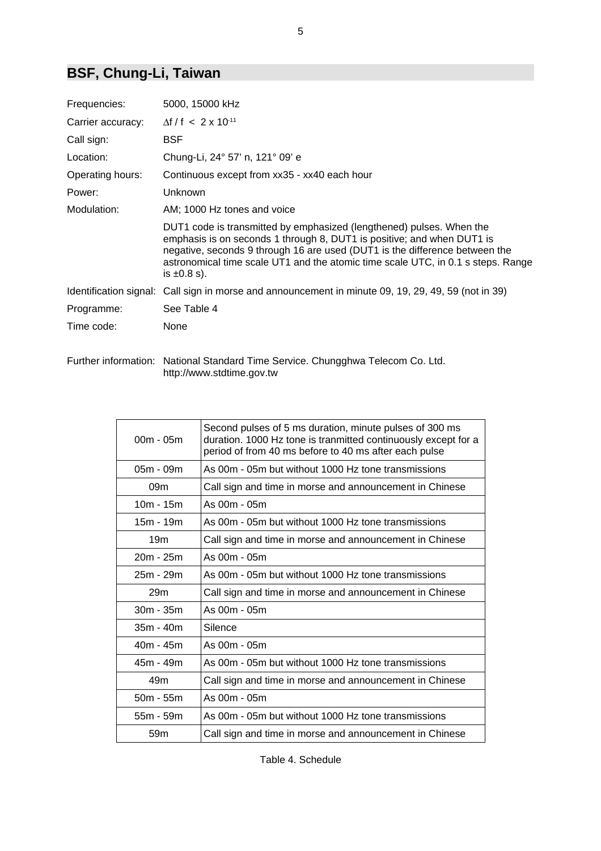# **BSF, Chung-Li, Taiwan**

| Frequencies:      | 5000, 15000 kHz                                                                                                                                                                                                                                                                                                                       |
|-------------------|---------------------------------------------------------------------------------------------------------------------------------------------------------------------------------------------------------------------------------------------------------------------------------------------------------------------------------------|
| Carrier accuracy: | $\Delta f / f < 2 \times 10^{-11}$                                                                                                                                                                                                                                                                                                    |
| Call sign:        | <b>BSF</b>                                                                                                                                                                                                                                                                                                                            |
| Location:         | Chung-Li, 24° 57' n, 121° 09' e                                                                                                                                                                                                                                                                                                       |
| Operating hours:  | Continuous except from xx35 - xx40 each hour                                                                                                                                                                                                                                                                                          |
| Power:            | Unknown                                                                                                                                                                                                                                                                                                                               |
| Modulation:       | AM; 1000 Hz tones and voice                                                                                                                                                                                                                                                                                                           |
|                   | DUT1 code is transmitted by emphasized (lengthened) pulses. When the<br>emphasis is on seconds 1 through 8, DUT1 is positive; and when DUT1 is<br>negative, seconds 9 through 16 are used (DUT1 is the difference between the<br>astronomical time scale UT1 and the atomic time scale UTC, in 0.1 s steps. Range<br>is $\pm 0.8$ s). |
|                   | Identification signal: Call sign in morse and announcement in minute 09, 19, 29, 49, 59 (not in 39)                                                                                                                                                                                                                                   |
| Programme:        | See Table 4                                                                                                                                                                                                                                                                                                                           |
| Time code:        | None                                                                                                                                                                                                                                                                                                                                  |

Further information: National Standard Time Service. Chungghwa Telecom Co. Ltd. http://www.stdtime.gov.tw

| $00m - 05m$     | Second pulses of 5 ms duration, minute pulses of 300 ms<br>duration. 1000 Hz tone is tranmitted continuously except for a<br>period of from 40 ms before to 40 ms after each pulse |
|-----------------|------------------------------------------------------------------------------------------------------------------------------------------------------------------------------------|
| $05m - 09m$     | As 00m - 05m but without 1000 Hz tone transmissions                                                                                                                                |
| 09 <sub>m</sub> | Call sign and time in morse and announcement in Chinese                                                                                                                            |
| $10m - 15m$     | As 00m - 05m                                                                                                                                                                       |
| $15m - 19m$     | As 00m - 05m but without 1000 Hz tone transmissions                                                                                                                                |
| 19 <sub>m</sub> | Call sign and time in morse and announcement in Chinese                                                                                                                            |
| 20m - 25m       | As 00m - 05m                                                                                                                                                                       |
| 25m - 29m       | As 00m - 05m but without 1000 Hz tone transmissions                                                                                                                                |
| 29 <sub>m</sub> | Call sign and time in morse and announcement in Chinese                                                                                                                            |
| 30m - 35m       | As 00m - 05m                                                                                                                                                                       |
| $35m - 40m$     | Silence                                                                                                                                                                            |
| $40m - 45m$     | As 00m - 05m                                                                                                                                                                       |
| 45m - 49m       | As 00m - 05m but without 1000 Hz tone transmissions                                                                                                                                |
| 49m             | Call sign and time in morse and announcement in Chinese                                                                                                                            |
| $50m - 55m$     | As 00m - 05m                                                                                                                                                                       |
| 55m - 59m       | As 00m - 05m but without 1000 Hz tone transmissions                                                                                                                                |
| 59 <sub>m</sub> | Call sign and time in morse and announcement in Chinese                                                                                                                            |

Table 4. Schedule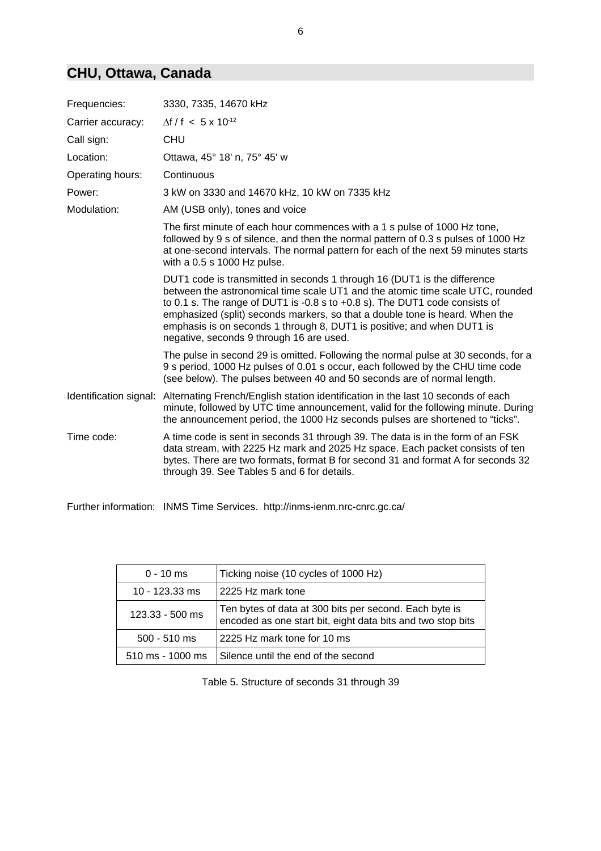### **CHU, Ottawa, Canada**

| Frequencies:           | 3330, 7335, 14670 kHz                                                                                                                                                                                                                                                                                                                                                                                                                             |
|------------------------|---------------------------------------------------------------------------------------------------------------------------------------------------------------------------------------------------------------------------------------------------------------------------------------------------------------------------------------------------------------------------------------------------------------------------------------------------|
| Carrier accuracy:      | $\Delta f / f$ < 5 x 10 <sup>-12</sup>                                                                                                                                                                                                                                                                                                                                                                                                            |
| Call sign:             | <b>CHU</b>                                                                                                                                                                                                                                                                                                                                                                                                                                        |
| Location:              | Ottawa, 45° 18' n, 75° 45' w                                                                                                                                                                                                                                                                                                                                                                                                                      |
| Operating hours:       | Continuous                                                                                                                                                                                                                                                                                                                                                                                                                                        |
| Power:                 | 3 kW on 3330 and 14670 kHz, 10 kW on 7335 kHz                                                                                                                                                                                                                                                                                                                                                                                                     |
| Modulation:            | AM (USB only), tones and voice                                                                                                                                                                                                                                                                                                                                                                                                                    |
|                        | The first minute of each hour commences with a 1 s pulse of 1000 Hz tone,<br>followed by 9 s of silence, and then the normal pattern of 0.3 s pulses of 1000 Hz<br>at one-second intervals. The normal pattern for each of the next 59 minutes starts<br>with a 0.5 s 1000 Hz pulse.                                                                                                                                                              |
|                        | DUT1 code is transmitted in seconds 1 through 16 (DUT1 is the difference<br>between the astronomical time scale UT1 and the atomic time scale UTC, rounded<br>to 0.1 s. The range of DUT1 is -0.8 s to $+0.8$ s). The DUT1 code consists of<br>emphasized (split) seconds markers, so that a double tone is heard. When the<br>emphasis is on seconds 1 through 8, DUT1 is positive; and when DUT1 is<br>negative, seconds 9 through 16 are used. |
|                        | The pulse in second 29 is omitted. Following the normal pulse at 30 seconds, for a<br>9 s period, 1000 Hz pulses of 0.01 s occur, each followed by the CHU time code<br>(see below). The pulses between 40 and 50 seconds are of normal length.                                                                                                                                                                                                   |
| Identification signal: | Alternating French/English station identification in the last 10 seconds of each<br>minute, followed by UTC time announcement, valid for the following minute. During<br>the announcement period, the 1000 Hz seconds pulses are shortened to "ticks".                                                                                                                                                                                            |
| Time code:             | A time code is sent in seconds 31 through 39. The data is in the form of an FSK<br>data stream, with 2225 Hz mark and 2025 Hz space. Each packet consists of ten<br>bytes. There are two formats, format B for second 31 and format A for seconds 32<br>through 39. See Tables 5 and 6 for details.                                                                                                                                               |

Further information: INMS Time Services. http://inms-ienm.nrc-cnrc.gc.ca/

| $0 - 10$ ms                        | Ticking noise (10 cycles of 1000 Hz)                                                                                  |
|------------------------------------|-----------------------------------------------------------------------------------------------------------------------|
| 10 - 123.33 ms                     | 2225 Hz mark tone                                                                                                     |
| $123.33 - 500$ ms                  | Ten bytes of data at 300 bits per second. Each byte is<br>encoded as one start bit, eight data bits and two stop bits |
| $500 - 510$ ms                     | 2225 Hz mark tone for 10 ms                                                                                           |
| $510 \text{ ms} - 1000 \text{ ms}$ | Silence until the end of the second                                                                                   |

Table 5. Structure of seconds 31 through 39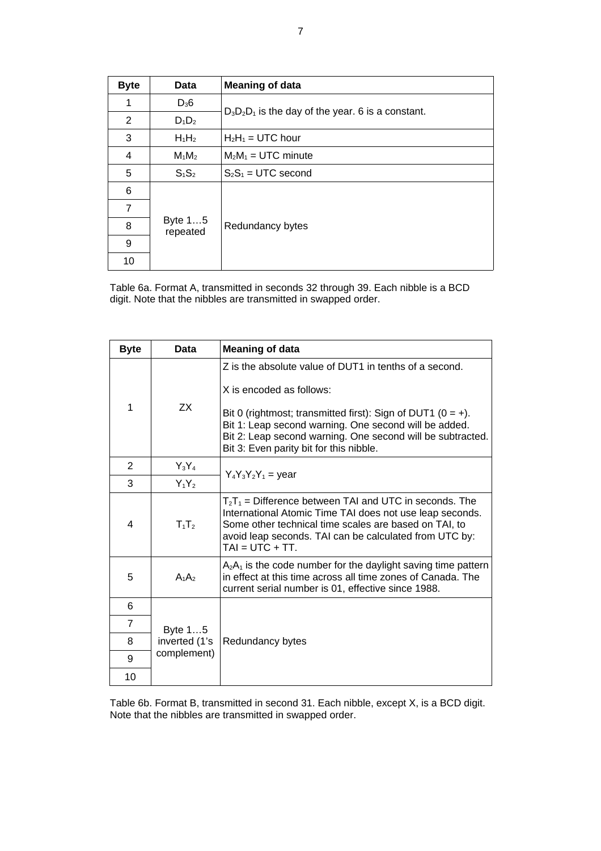| <b>Byte</b>    | <b>Data</b>         | <b>Meaning of data</b>                               |
|----------------|---------------------|------------------------------------------------------|
| 1              | $D_36$              |                                                      |
| 2              | $D_1D_2$            | $D_3D_2D_1$ is the day of the year. 6 is a constant. |
| 3              | $H_1H_2$            | $H_2H_1 = UTC$ hour                                  |
| 4              | $M_1M_2$            | $M_2M_1 = UTC$ minute                                |
| 5              | $S_1S_2$            | $S_2S_1 = UTC$ second                                |
| 6              |                     |                                                      |
| $\overline{7}$ | Byte 15<br>repeated |                                                      |
| 8              |                     | Redundancy bytes                                     |
| 9              |                     |                                                      |
| 10             |                     |                                                      |

Table 6a. Format A, transmitted in seconds 32 through 39. Each nibble is a BCD digit. Note that the nibbles are transmitted in swapped order.

| <b>Byte</b>    | Data                                    | <b>Meaning of data</b>                                                                                                                                                                                                                                                                                                  |
|----------------|-----------------------------------------|-------------------------------------------------------------------------------------------------------------------------------------------------------------------------------------------------------------------------------------------------------------------------------------------------------------------------|
| 1              | <b>ZX</b>                               | Z is the absolute value of DUT1 in tenths of a second.<br>X is encoded as follows:<br>Bit 0 (rightmost; transmitted first): Sign of DUT1 ( $0 = +$ ).<br>Bit 1: Leap second warning. One second will be added.<br>Bit 2: Leap second warning. One second will be subtracted.<br>Bit 3: Even parity bit for this nibble. |
| 2              | $Y_3Y_4$                                | $Y_4Y_3Y_2Y_1 = year$                                                                                                                                                                                                                                                                                                   |
| 3              | $Y_1Y_2$                                |                                                                                                                                                                                                                                                                                                                         |
| 4              | $T_1T_2$                                | $T_2T_1$ = Difference between TAI and UTC in seconds. The<br>International Atomic Time TAI does not use leap seconds.<br>Some other technical time scales are based on TAI, to<br>avoid leap seconds. TAI can be calculated from UTC by:<br>$TAI = UTC + TT$ .                                                          |
| 5              | $A_1A_2$                                | $A_2A_1$ is the code number for the daylight saving time pattern<br>in effect at this time across all time zones of Canada. The<br>current serial number is 01, effective since 1988.                                                                                                                                   |
| 6              |                                         |                                                                                                                                                                                                                                                                                                                         |
| $\overline{7}$ | Byte 15<br>inverted (1's<br>complement) |                                                                                                                                                                                                                                                                                                                         |
| 8              |                                         | Redundancy bytes                                                                                                                                                                                                                                                                                                        |
| 9              |                                         |                                                                                                                                                                                                                                                                                                                         |
| 10             |                                         |                                                                                                                                                                                                                                                                                                                         |

Table 6b. Format B, transmitted in second 31. Each nibble, except X, is a BCD digit. Note that the nibbles are transmitted in swapped order.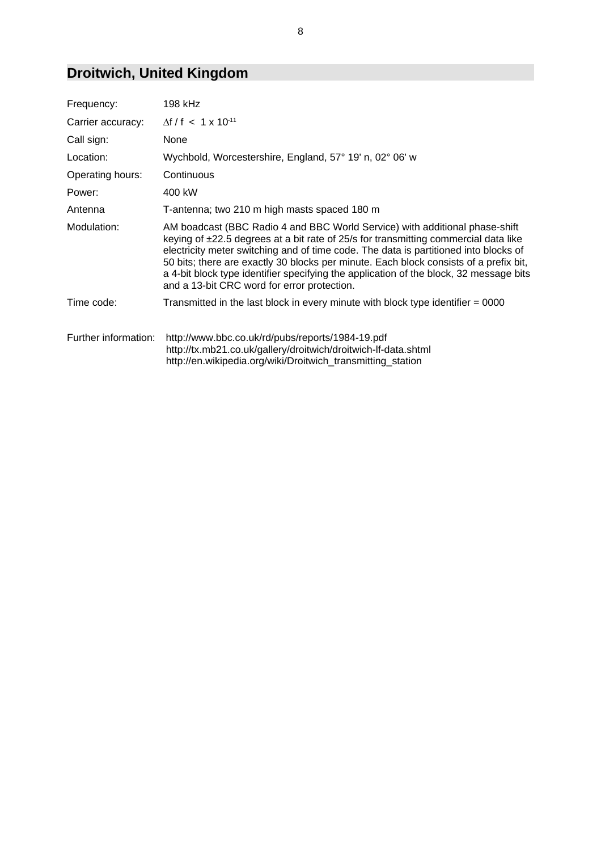# **Droitwich, United Kingdom**

| Frequency:           | 198 kHz                                                                                                                                                                                                                                                                                                                                                                                                                                                                                      |
|----------------------|----------------------------------------------------------------------------------------------------------------------------------------------------------------------------------------------------------------------------------------------------------------------------------------------------------------------------------------------------------------------------------------------------------------------------------------------------------------------------------------------|
| Carrier accuracy:    | $\Delta f/f$ < 1 x 10 <sup>-11</sup>                                                                                                                                                                                                                                                                                                                                                                                                                                                         |
| Call sign:           | None                                                                                                                                                                                                                                                                                                                                                                                                                                                                                         |
| Location:            | Wychbold, Worcestershire, England, 57° 19' n, 02° 06' w                                                                                                                                                                                                                                                                                                                                                                                                                                      |
| Operating hours:     | Continuous                                                                                                                                                                                                                                                                                                                                                                                                                                                                                   |
| Power:               | 400 kW                                                                                                                                                                                                                                                                                                                                                                                                                                                                                       |
| Antenna              | T-antenna; two 210 m high masts spaced 180 m                                                                                                                                                                                                                                                                                                                                                                                                                                                 |
| Modulation:          | AM boadcast (BBC Radio 4 and BBC World Service) with additional phase-shift<br>keying of ±22.5 degrees at a bit rate of 25/s for transmitting commercial data like<br>electricity meter switching and of time code. The data is partitioned into blocks of<br>50 bits; there are exactly 30 blocks per minute. Each block consists of a prefix bit,<br>a 4-bit block type identifier specifying the application of the block, 32 message bits<br>and a 13-bit CRC word for error protection. |
| Time code:           | Transmitted in the last block in every minute with block type identifier = 0000                                                                                                                                                                                                                                                                                                                                                                                                              |
| Further information: | http://www.bbc.co.uk/rd/pubs/reports/1984-19.pdf<br>http://tx.mb21.co.uk/gallery/droitwich/droitwich-lf-data.shtml<br>http://en.wikipedia.org/wiki/Droitwich_transmitting_station                                                                                                                                                                                                                                                                                                            |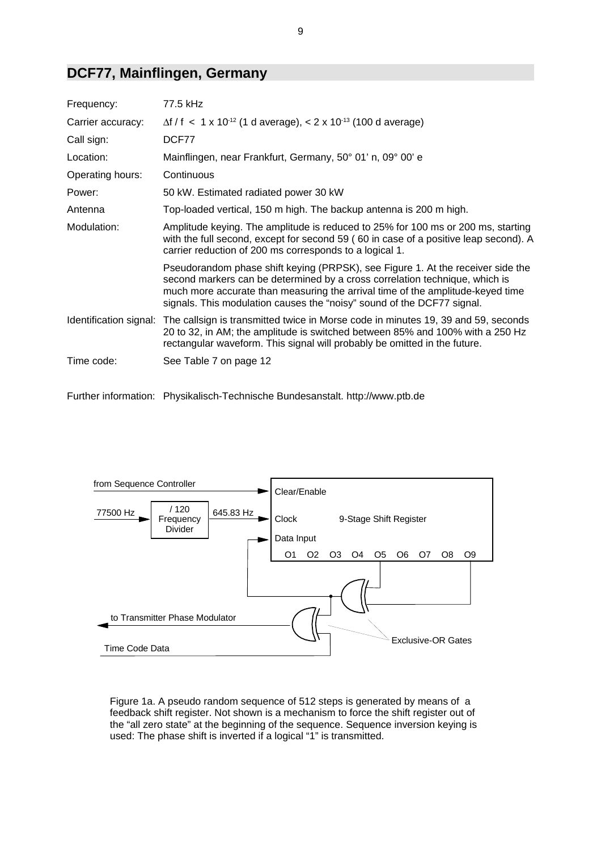#### **DCF77, Mainflingen, Germany**

| Frequency:        | 77.5 kHz                                                                                                                                                                                                                                                                                                                   |
|-------------------|----------------------------------------------------------------------------------------------------------------------------------------------------------------------------------------------------------------------------------------------------------------------------------------------------------------------------|
| Carrier accuracy: | $\Delta f / f$ < 1 x 10 <sup>-12</sup> (1 d average), < 2 x 10 <sup>-13</sup> (100 d average)                                                                                                                                                                                                                              |
| Call sign:        | DCF77                                                                                                                                                                                                                                                                                                                      |
| Location:         | Mainflingen, near Frankfurt, Germany, 50° 01' n, 09° 00' e                                                                                                                                                                                                                                                                 |
| Operating hours:  | Continuous                                                                                                                                                                                                                                                                                                                 |
| Power:            | 50 kW. Estimated radiated power 30 kW                                                                                                                                                                                                                                                                                      |
| Antenna           | Top-loaded vertical, 150 m high. The backup antenna is 200 m high.                                                                                                                                                                                                                                                         |
| Modulation:       | Amplitude keying. The amplitude is reduced to 25% for 100 ms or 200 ms, starting<br>with the full second, except for second 59 (60 in case of a positive leap second). A<br>carrier reduction of 200 ms corresponds to a logical 1.                                                                                        |
|                   | Pseudorandom phase shift keying (PRPSK), see Figure 1. At the receiver side the<br>second markers can be determined by a cross correlation technique, which is<br>much more accurate than measuring the arrival time of the amplitude-keyed time<br>signals. This modulation causes the "noisy" sound of the DCF77 signal. |
|                   | Identification signal: The callsign is transmitted twice in Morse code in minutes 19, 39 and 59, seconds<br>20 to 32, in AM; the amplitude is switched between 85% and 100% with a 250 Hz<br>rectangular waveform. This signal will probably be omitted in the future.                                                     |
| Time code:        | See Table 7 on page 12                                                                                                                                                                                                                                                                                                     |

Further information: Physikalisch-Technische Bundesanstalt. http://www.ptb.de



Figure 1a. A pseudo random sequence of 512 steps is generated by means of a feedback shift register. Not shown is a mechanism to force the shift register out of the "all zero state" at the beginning of the sequence. Sequence inversion keying is used: The phase shift is inverted if a logical "1" is transmitted.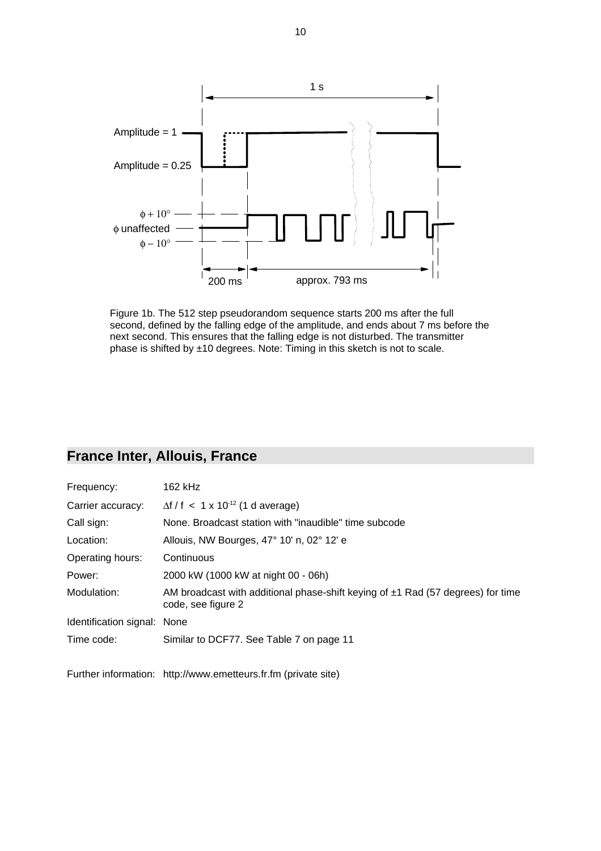

Figure 1b. The 512 step pseudorandom sequence starts 200 ms after the full second, defined by the falling edge of the amplitude, and ends about 7 ms before the next second. This ensures that the falling edge is not disturbed. The transmitter phase is shifted by ±10 degrees. Note: Timing in this sketch is not to scale.

### **France Inter, Allouis, France**

| Frequency:                  | 162 kHz                                                                                                    |
|-----------------------------|------------------------------------------------------------------------------------------------------------|
| Carrier accuracy:           | $\Delta f / f$ < 1 x 10 <sup>-12</sup> (1 d average)                                                       |
| Call sign:                  | None. Broadcast station with "inaudible" time subcode                                                      |
| Location:                   | Allouis, NW Bourges, 47° 10' n, 02° 12' e                                                                  |
| Operating hours:            | Continuous                                                                                                 |
| Power:                      | 2000 kW (1000 kW at night 00 - 06h)                                                                        |
| Modulation:                 | AM broadcast with additional phase-shift keying of $\pm$ 1 Rad (57 degrees) for time<br>code, see figure 2 |
| Identification signal: None |                                                                                                            |
| Time code:                  | Similar to DCF77. See Table 7 on page 11                                                                   |

Further information: http://www.emetteurs.fr.fm (private site)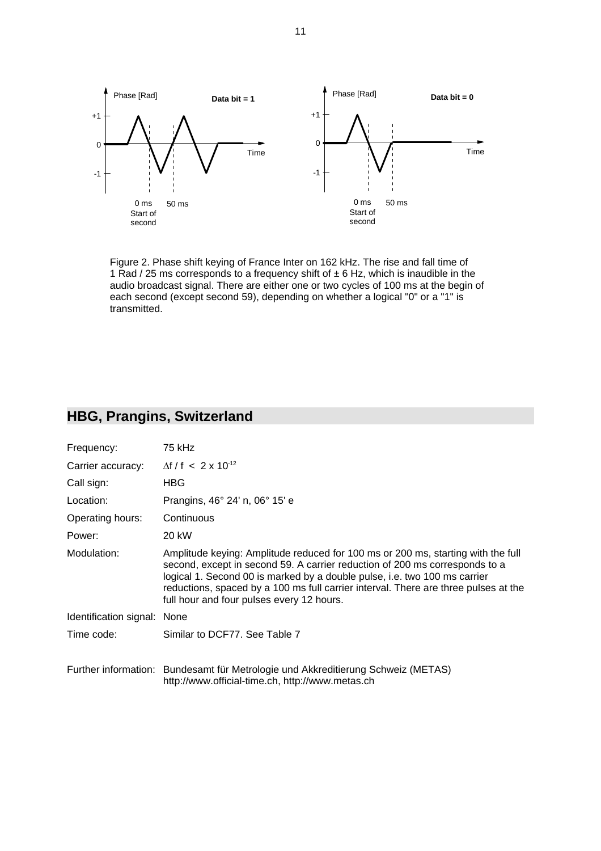

Figure 2. Phase shift keying of France Inter on 162 kHz. The rise and fall time of 1 Rad / 25 ms corresponds to a frequency shift of  $\pm$  6 Hz, which is inaudible in the audio broadcast signal. There are either one or two cycles of 100 ms at the begin of each second (except second 59), depending on whether a logical "0" or a "1" is transmitted.

### **HBG, Prangins, Switzerland**

| Frequency:                  | 75 kHz                                                                                                                                                                                                                                                                                                                                                                           |
|-----------------------------|----------------------------------------------------------------------------------------------------------------------------------------------------------------------------------------------------------------------------------------------------------------------------------------------------------------------------------------------------------------------------------|
| Carrier accuracy:           | $\Delta f / f < 2 \times 10^{-12}$                                                                                                                                                                                                                                                                                                                                               |
| Call sign:                  | <b>HBG</b>                                                                                                                                                                                                                                                                                                                                                                       |
| Location:                   | Prangins, 46° 24' n, 06° 15' e                                                                                                                                                                                                                                                                                                                                                   |
| Operating hours:            | Continuous                                                                                                                                                                                                                                                                                                                                                                       |
| Power:                      | 20 kW                                                                                                                                                                                                                                                                                                                                                                            |
| Modulation:                 | Amplitude keying: Amplitude reduced for 100 ms or 200 ms, starting with the full<br>second, except in second 59. A carrier reduction of 200 ms corresponds to a<br>logical 1. Second 00 is marked by a double pulse, i.e. two 100 ms carrier<br>reductions, spaced by a 100 ms full carrier interval. There are three pulses at the<br>full hour and four pulses every 12 hours. |
| Identification signal: None |                                                                                                                                                                                                                                                                                                                                                                                  |
| Time code:                  | Similar to DCF77. See Table 7                                                                                                                                                                                                                                                                                                                                                    |
|                             | Further information: Bundesamt für Metrologie und Akkreditierung Schweiz (METAS)<br>http://www.official-time.ch, http://www.metas.ch                                                                                                                                                                                                                                             |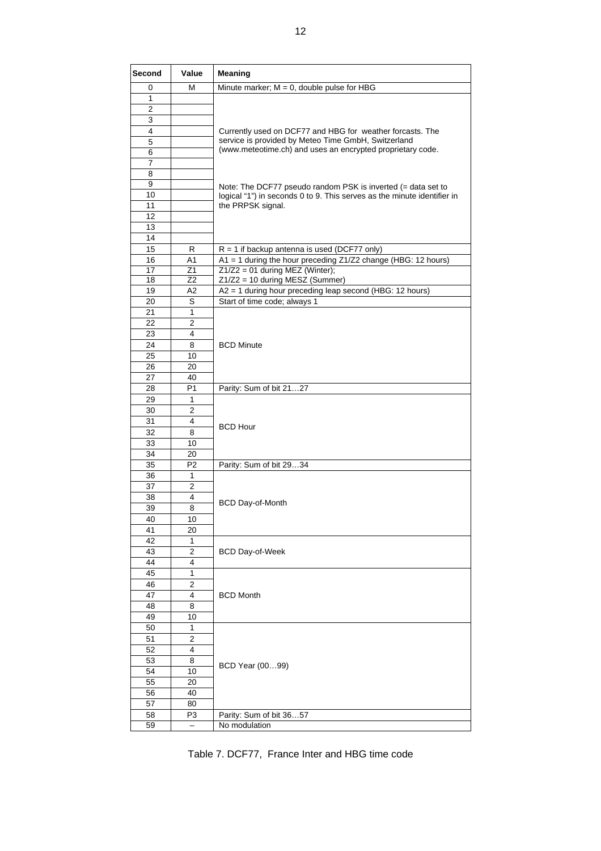| Second   | Value          | <b>Meaning</b>                                                          |
|----------|----------------|-------------------------------------------------------------------------|
| 0        | м              | Minute marker; $M = 0$ , double pulse for HBG                           |
| 1        |                |                                                                         |
| 2        |                |                                                                         |
| 3        |                |                                                                         |
| 4        |                | Currently used on DCF77 and HBG for weather forcasts. The               |
| 5        |                | service is provided by Meteo Time GmbH, Switzerland                     |
| 6        |                | (www.meteotime.ch) and uses an encrypted proprietary code.              |
| 7        |                |                                                                         |
| 8        |                |                                                                         |
| 9        |                | Note: The DCF77 pseudo random PSK is inverted (= data set to            |
| 10       |                | logical "1") in seconds 0 to 9. This serves as the minute identifier in |
| 11       |                | the PRPSK signal.                                                       |
| 12       |                |                                                                         |
| 13       |                |                                                                         |
| 14       |                |                                                                         |
| 15       | R              | $R = 1$ if backup antenna is used (DCF77 only)                          |
| 16       | A1             | A1 = 1 during the hour preceding Z1/Z2 change (HBG: 12 hours)           |
| 17       | Z1             | $Z1/Z2 = 01$ during MEZ (Winter);                                       |
| 18       | Z2             | $Z1/Z2 = 10$ during MESZ (Summer)                                       |
| 19       | A2             | $A2 = 1$ during hour preceding leap second (HBG: 12 hours)              |
| 20       | S              | Start of time code; always 1                                            |
| 21       | 1              |                                                                         |
| 22<br>23 | 2<br>4         |                                                                         |
| 24       | 8              | <b>BCD Minute</b>                                                       |
| 25       | 10             |                                                                         |
| 26       | 20             |                                                                         |
| 27       | 40             |                                                                         |
| 28       | P <sub>1</sub> | Parity: Sum of bit 2127                                                 |
| 29       | 1              |                                                                         |
| 30       | $\overline{2}$ |                                                                         |
| 31       | 4              |                                                                         |
| 32       | 8              | <b>BCD Hour</b>                                                         |
| 33       | 10             |                                                                         |
| 34       | 20             |                                                                         |
| 35       | P <sub>2</sub> | Parity: Sum of bit 2934                                                 |
| 36       | 1              |                                                                         |
| 37       | 2              |                                                                         |
| 38       | 4              |                                                                         |
| 39       | 8              | BCD Day-of-Month                                                        |
| 40       | 10             |                                                                         |
| 41       | 20             |                                                                         |
| 42       | 1              |                                                                         |
| 43       | $\overline{2}$ | <b>BCD Day-of-Week</b>                                                  |
| 44       | 4              |                                                                         |
| 45       | 1              |                                                                         |
| 46       | 2              |                                                                         |
| 47       | 4              | <b>BCD Month</b>                                                        |
| 48       | 8              |                                                                         |
| 49       | 10             |                                                                         |
| 50       | 1              |                                                                         |
| 51       | 2              |                                                                         |
| 52       | 4              |                                                                         |
| 53       | 8              | BCD Year (0099)                                                         |
| 54       | 10             |                                                                         |
| 55       | 20             |                                                                         |
| 56       | 40             |                                                                         |
| 57       | 80             |                                                                         |
| 58       | P3             | Parity: Sum of bit 3657                                                 |
| 59       | $\equiv$       | No modulation                                                           |

| Table 7. DCF77, France Inter and HBG time code |  |  |  |  |
|------------------------------------------------|--|--|--|--|
|------------------------------------------------|--|--|--|--|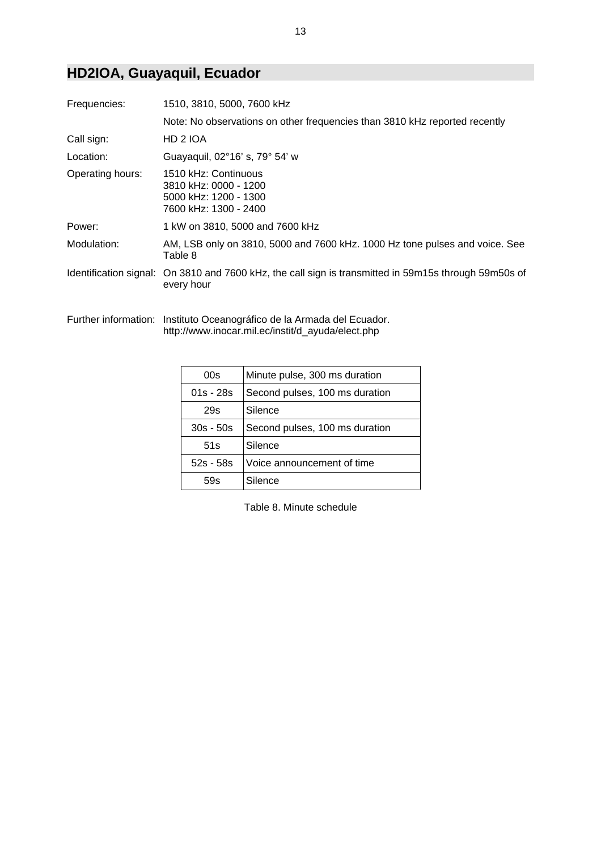### **HD2IOA, Guayaquil, Ecuador**

| Frequencies:     | 1510, 3810, 5000, 7600 kHz                                                                                          |
|------------------|---------------------------------------------------------------------------------------------------------------------|
|                  | Note: No observations on other frequencies than 3810 kHz reported recently                                          |
| Call sign:       | HD 2 IOA                                                                                                            |
| Location:        | Guayaquil, 02°16' s, 79° 54' w                                                                                      |
| Operating hours: | 1510 kHz: Continuous<br>3810 kHz: 0000 - 1200<br>5000 kHz: 1200 - 1300<br>7600 kHz: 1300 - 2400                     |
| Power:           | 1 kW on 3810, 5000 and 7600 kHz                                                                                     |
| Modulation:      | AM, LSB only on 3810, 5000 and 7600 kHz. 1000 Hz tone pulses and voice. See<br>Table 8                              |
|                  | Identification signal: On 3810 and 7600 kHz, the call sign is transmitted in 59m15s through 59m50s of<br>every hour |

Further information: Instituto Oceanográfico de la Armada del Ecuador. http://www.inocar.mil.ec/instit/d\_ayuda/elect.php

| 00s         | Minute pulse, 300 ms duration  |
|-------------|--------------------------------|
| $01s - 28s$ | Second pulses, 100 ms duration |
| 29s         | Silence                        |
| $30s - 50s$ | Second pulses, 100 ms duration |
| 51s         | Silence                        |
| $52s - 58s$ | Voice announcement of time     |
|             | Silence                        |

Table 8. Minute schedule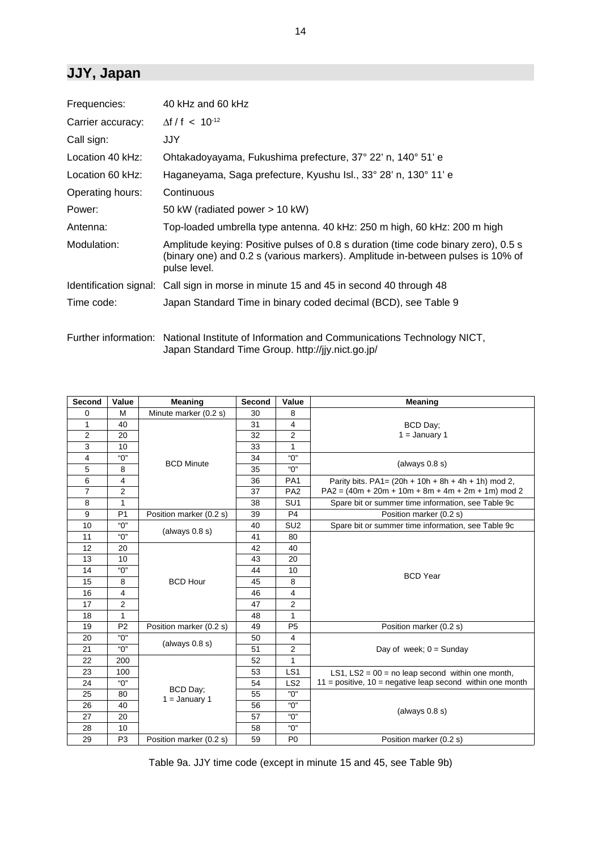### **JJY, Japan**

| Frequencies:      | 40 kHz and 60 kHz                                                                                                                                                                     |
|-------------------|---------------------------------------------------------------------------------------------------------------------------------------------------------------------------------------|
| Carrier accuracy: | $\Delta f / f$ < 10 <sup>-12</sup>                                                                                                                                                    |
| Call sign:        | JJY.                                                                                                                                                                                  |
| Location 40 kHz:  | Ohtakadoyayama, Fukushima prefecture, 37° 22' n, 140° 51' e                                                                                                                           |
| Location 60 kHz:  | Haganeyama, Saga prefecture, Kyushu Isl., 33° 28' n, 130° 11' e                                                                                                                       |
| Operating hours:  | Continuous                                                                                                                                                                            |
| Power:            | 50 kW (radiated power > 10 kW)                                                                                                                                                        |
| Antenna:          | Top-loaded umbrella type antenna. 40 kHz: 250 m high, 60 kHz: 200 m high                                                                                                              |
| Modulation:       | Amplitude keying: Positive pulses of 0.8 s duration (time code binary zero), 0.5 s<br>(binary one) and 0.2 s (various markers). Amplitude in-between pulses is 10% of<br>pulse level. |
|                   | Identification signal: Call sign in morse in minute 15 and 45 in second 40 through 48                                                                                                 |
| Time code:        | Japan Standard Time in binary coded decimal (BCD), see Table 9                                                                                                                        |

Further information: National Institute of Information and Communications Technology NICT, Japan Standard Time Group. http://jjy.nict.go.jp/

| <b>Second</b>  | Value          | Meaning                     | Second | Value           | <b>Meaning</b>                                                |
|----------------|----------------|-----------------------------|--------|-----------------|---------------------------------------------------------------|
| 0              | м              | Minute marker (0.2 s)       | 30     | 8               |                                                               |
| 1              | 40             |                             | 31     | 4               | BCD Day;                                                      |
| 2              | 20             |                             | 32     | 2               | $1 =$ January 1                                               |
| 3              | 10             |                             | 33     | 1               |                                                               |
| 4              | "0"            | <b>BCD Minute</b>           | 34     | "በ"             | (always $0.8 s$ )                                             |
| 5              | 8              |                             | 35     | "በ"             |                                                               |
| 6              | 4              |                             | 36     | PA <sub>1</sub> | Parity bits. PA1= $(20h + 10h + 8h + 4h + 1h)$ mod 2,         |
| $\overline{7}$ | 2              |                             | 37     | PA <sub>2</sub> | $PA2 = (40m + 20m + 10m + 8m + 4m + 2m + 1m) \text{ mod } 2$  |
| 8              | 1              |                             | 38     | SU <sub>1</sub> | Spare bit or summer time information, see Table 9c            |
| 9              | P <sub>1</sub> | Position marker (0.2 s)     | 39     | P <sub>4</sub>  | Position marker (0.2 s)                                       |
| 10             | "0"            |                             | 40     | SU <sub>2</sub> | Spare bit or summer time information, see Table 9c            |
| 11             | "በ"            | (always $0.8$ s)            | 41     | 80              |                                                               |
| 12             | 20             |                             | 42     | 40              |                                                               |
| 13             | 10             |                             | 43     | 20              |                                                               |
| 14             | "0"            |                             | 44     | 10              | <b>BCD</b> Year                                               |
| 15             | 8              | <b>BCD Hour</b>             | 45     | 8               |                                                               |
| 16             | 4              |                             | 46     | 4               |                                                               |
| 17             | 2              |                             | 47     | 2               |                                                               |
| 18             | $\mathbf{1}$   |                             | 48     | 1               |                                                               |
| 19             | P <sub>2</sub> | Position marker (0.2 s)     | 49     | P <sub>5</sub>  | Position marker (0.2 s)                                       |
| 20             | "0"            |                             | 50     | 4               |                                                               |
| 21             | "በ"            | (always $0.8$ s)            | 51     | $\overline{2}$  | Day of week; $0 =$ Sunday                                     |
| 22             | 200            |                             | 52     | 1               |                                                               |
| 23             | 100            |                             | 53     | LS <sub>1</sub> | LS1, LS2 = $00 =$ no leap second within one month,            |
| 24             | "О"            |                             | 54     | LS <sub>2</sub> | $11$ = positive, $10$ = negative leap second within one month |
| 25             | 80             | BCD Day:<br>$1 =$ January 1 | 55     | "0"             |                                                               |
| 26             | 40             |                             | 56     | "በ"             | (always $0.8 s$ )                                             |
| 27             | 20             |                             | 57     | "በ"             |                                                               |
| 28             | 10             |                             | 58     | "0"             |                                                               |
| 29             | P <sub>3</sub> | Position marker (0.2 s)     | 59     | P <sub>0</sub>  | Position marker (0.2 s)                                       |

Table 9a. JJY time code (except in minute 15 and 45, see Table 9b)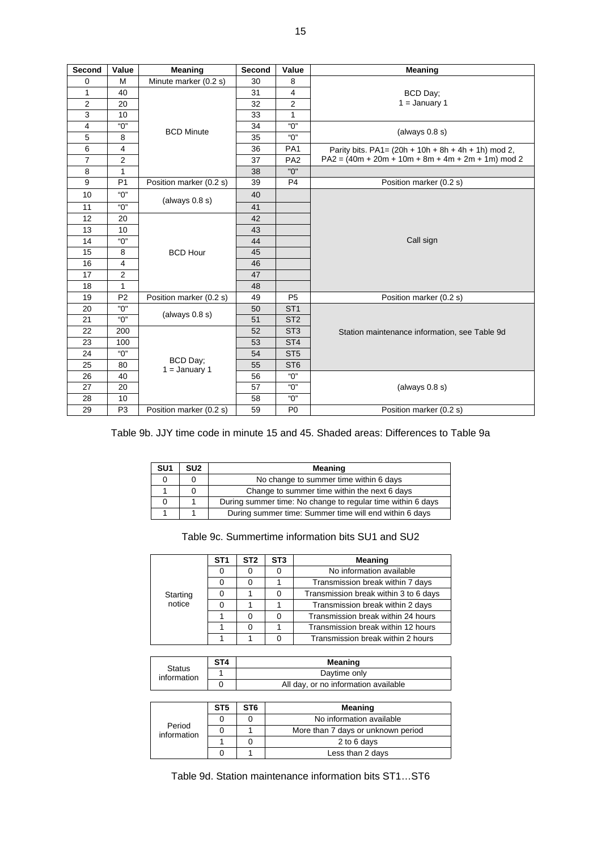| Second         | Value          | <b>Meaning</b>              | Second | Value           | <b>Meaning</b>                                               |
|----------------|----------------|-----------------------------|--------|-----------------|--------------------------------------------------------------|
| 0              | M              | Minute marker (0.2 s)       | 30     | 8               |                                                              |
| $\mathbf{1}$   | 40             |                             | 31     | 4               | BCD Day;                                                     |
| $\overline{2}$ | 20             |                             | 32     | 2               | $1 =$ January 1                                              |
| 3              | 10             |                             | 33     | 1               |                                                              |
| $\overline{4}$ | "0"            | <b>BCD Minute</b>           | 34     | "O"             | (always $0.8$ s)                                             |
| 5              | 8              |                             | 35     | "О"             |                                                              |
| 6              | $\overline{4}$ |                             | 36     | PA <sub>1</sub> | Parity bits. PA1= $(20h + 10h + 8h + 4h + 1h)$ mod 2,        |
| $\overline{7}$ | $\overline{2}$ |                             | 37     | PA <sub>2</sub> | $PA2 = (40m + 20m + 10m + 8m + 4m + 2m + 1m) \text{ mod } 2$ |
| 8              | 1              |                             | 38     | "በ"             |                                                              |
| 9              | P <sub>1</sub> | Position marker (0.2 s)     | 39     | P <sub>4</sub>  | Position marker (0.2 s)                                      |
| 10             | "0"            | (always $0.8 s$ )           | 40     |                 |                                                              |
| 11             | "О"            |                             | 41     |                 |                                                              |
| 12             | 20             |                             | 42     |                 |                                                              |
| 13             | 10             |                             | 43     |                 |                                                              |
| 14             | "በ"            |                             | 44     |                 | Call sign                                                    |
| 15             | 8              | <b>BCD Hour</b>             | 45     |                 |                                                              |
| 16             | $\overline{4}$ |                             | 46     |                 |                                                              |
| 17             | $\overline{2}$ |                             | 47     |                 |                                                              |
| 18             | 1              |                             | 48     |                 |                                                              |
| 19             | P <sub>2</sub> | Position marker (0.2 s)     | 49     | P <sub>5</sub>  | Position marker (0.2 s)                                      |
| 20             | "0"            | (always $0.8 s$ )           | 50     | ST <sub>1</sub> |                                                              |
| 21             | "በ"            |                             | 51     | ST <sub>2</sub> |                                                              |
| 22             | 200            |                             | 52     | ST <sub>3</sub> | Station maintenance information, see Table 9d                |
| 23             | 100            |                             | 53     | ST <sub>4</sub> |                                                              |
| 24             | "በ"            |                             | 54     | ST <sub>5</sub> |                                                              |
| 25             | 80             | BCD Day;<br>$1 =$ January 1 | 55     | ST <sub>6</sub> |                                                              |
| 26             | 40             |                             | 56     | "О"             |                                                              |
| 27             | 20             |                             | 57     | "О"             | (always $0.8$ s)                                             |
| 28             | 10             |                             | 58     | "О"             |                                                              |
| 29             | P <sub>3</sub> | Position marker (0.2 s)     | 59     | P <sub>0</sub>  | Position marker (0.2 s)                                      |

#### Table 9b. JJY time code in minute 15 and 45. Shaded areas: Differences to Table 9a

| SU1 | SU <sub>2</sub> | Meaning                                                     |
|-----|-----------------|-------------------------------------------------------------|
| 0   |                 | No change to summer time within 6 days                      |
|     |                 | Change to summer time within the next 6 days                |
| Ω   |                 | During summer time: No change to regular time within 6 days |
|     |                 | During summer time: Summer time will end within 6 days      |

| Table 9c. Summertime information bits SU1 and SU2 |  |  |  |  |
|---------------------------------------------------|--|--|--|--|
|---------------------------------------------------|--|--|--|--|

|          | ST <sub>1</sub> | ST <sub>2</sub> | ST <sub>3</sub> | <b>Meaning</b>                        |
|----------|-----------------|-----------------|-----------------|---------------------------------------|
|          |                 |                 |                 | No information available              |
|          | 0               |                 |                 | Transmission break within 7 days      |
| Starting |                 |                 |                 | Transmission break within 3 to 6 days |
| notice   |                 |                 |                 | Transmission break within 2 days      |
|          |                 |                 |                 | Transmission break within 24 hours    |
|          |                 |                 |                 | Transmission break within 12 hours    |
|          |                 |                 |                 | Transmission break within 2 hours     |

| <b>Status</b><br>information | ST <sub>4</sub> | Meaning                              |
|------------------------------|-----------------|--------------------------------------|
|                              |                 | Davtime only                         |
|                              |                 | All day, or no information available |

| Period<br>information | ST5 | ST6 | Meaning                            |  |
|-----------------------|-----|-----|------------------------------------|--|
|                       |     |     | No information available           |  |
|                       |     |     | More than 7 days or unknown period |  |
|                       |     |     | 2 to 6 days                        |  |
|                       |     |     | Less than 2 days                   |  |

Table 9d. Station maintenance information bits ST1…ST6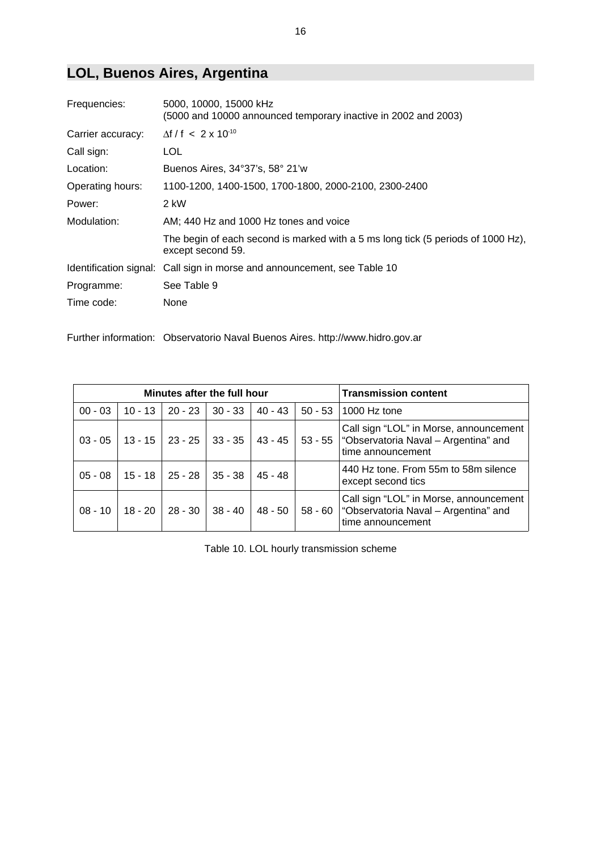# **LOL, Buenos Aires, Argentina**

| Frequencies:      | 5000, 10000, 15000 kHz<br>(5000 and 10000 announced temporary inactive in 2002 and 2003)              |
|-------------------|-------------------------------------------------------------------------------------------------------|
| Carrier accuracy: | $\Delta f / f$ < 2 x 10 <sup>-10</sup>                                                                |
| Call sign:        | LOL                                                                                                   |
| Location:         | Buenos Aires, 34°37's, 58° 21'w                                                                       |
| Operating hours:  | 1100-1200, 1400-1500, 1700-1800, 2000-2100, 2300-2400                                                 |
| Power:            | 2 kW                                                                                                  |
| Modulation:       | AM; 440 Hz and 1000 Hz tones and voice                                                                |
|                   | The begin of each second is marked with a 5 ms long tick (5 periods of 1000 Hz),<br>except second 59. |
|                   | Identification signal: Call sign in morse and announcement, see Table 10                              |
| Programme:        | See Table 9                                                                                           |
| Time code:        | None                                                                                                  |

Further information: Observatorio Naval Buenos Aires. http://www.hidro.gov.ar

| Minutes after the full hour |           |                     |           |           | <b>Transmission content</b> |                                                                                                               |
|-----------------------------|-----------|---------------------|-----------|-----------|-----------------------------|---------------------------------------------------------------------------------------------------------------|
| $00 - 03$                   | $10 - 13$ | 20 - 23             | $30 - 33$ | $40 - 43$ | $50 - 53$                   | 1000 Hz tone                                                                                                  |
| $03 - 05$                   | $13 - 15$ | 23 - 25             | $33 - 35$ | 43 - 45   |                             | Call sign "LOL" in Morse, announcement<br>53 - 55   "Observatoria Naval – Argentina" and<br>time announcement |
| $05 - 08$                   |           | $15 - 18$   25 - 28 | $35 - 38$ | 45 - 48   |                             | 440 Hz tone. From 55m to 58m silence<br>except second tics                                                    |
| $08 - 10$                   | 18 - 20   | 28 - 30             | $38 - 40$ | 48 - 50   | 58 - 60                     | Call sign "LOL" in Morse, announcement<br>"Observatoria Naval - Argentina" and<br>time announcement           |

Table 10. LOL hourly transmission scheme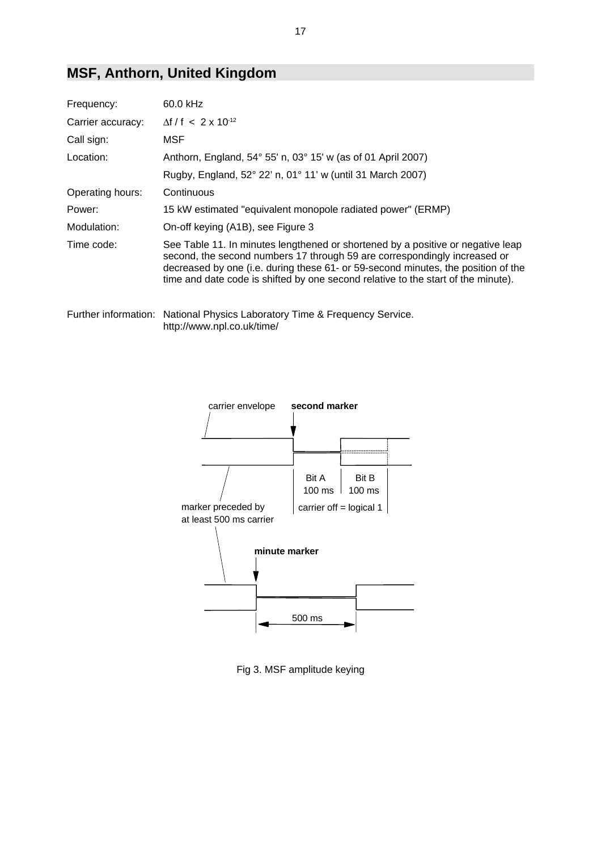### **MSF, Anthorn, United Kingdom**

| Frequency:        | 60.0 kHz                                                                                                                                                                                                                                                                                                                               |
|-------------------|----------------------------------------------------------------------------------------------------------------------------------------------------------------------------------------------------------------------------------------------------------------------------------------------------------------------------------------|
| Carrier accuracy: | $\Delta f / f < 2 \times 10^{-12}$                                                                                                                                                                                                                                                                                                     |
| Call sign:        | MSF                                                                                                                                                                                                                                                                                                                                    |
| Location:         | Anthorn, England, 54° 55' n, 03° 15' w (as of 01 April 2007)                                                                                                                                                                                                                                                                           |
|                   | Rugby, England, 52° 22' n, 01° 11' w (until 31 March 2007)                                                                                                                                                                                                                                                                             |
| Operating hours:  | Continuous                                                                                                                                                                                                                                                                                                                             |
| Power:            | 15 kW estimated "equivalent monopole radiated power" (ERMP)                                                                                                                                                                                                                                                                            |
| Modulation:       | On-off keying (A1B), see Figure 3                                                                                                                                                                                                                                                                                                      |
| Time code:        | See Table 11. In minutes lengthened or shortened by a positive or negative leap<br>second, the second numbers 17 through 59 are correspondingly increased or<br>decreased by one (i.e. during these 61- or 59-second minutes, the position of the<br>time and date code is shifted by one second relative to the start of the minute). |
|                   | Further information: National Physics Laboratory Time & Frequency Service.                                                                                                                                                                                                                                                             |

http://www.npl.co.uk/time/



Fig 3. MSF amplitude keying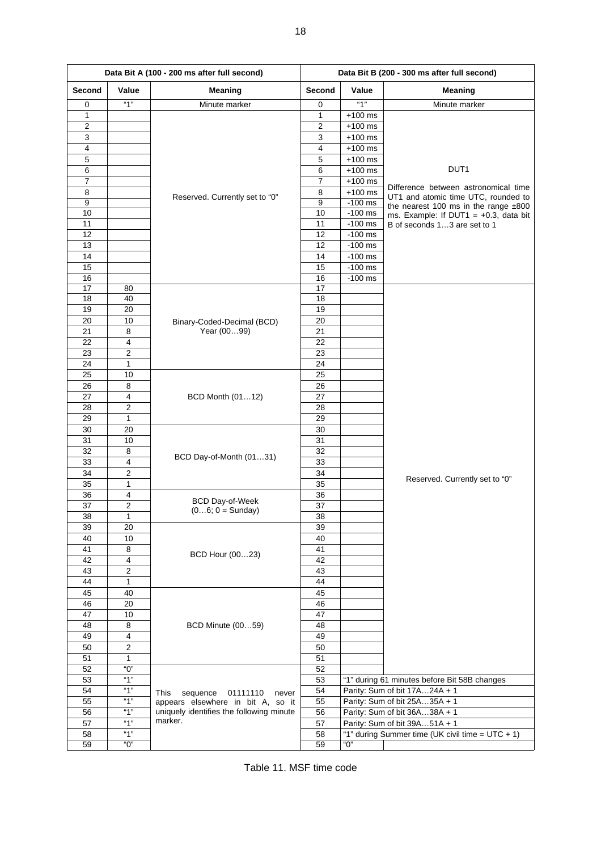| Data Bit A (100 - 200 ms after full second) |                |                                           | Data Bit B (200 - 300 ms after full second) |           |                                                  |
|---------------------------------------------|----------------|-------------------------------------------|---------------------------------------------|-----------|--------------------------------------------------|
| Second                                      | Value          | Meaning                                   | Second                                      | Value     | Meaning                                          |
| 0                                           | "1"            | Minute marker                             | 0                                           | "1"       | Minute marker                                    |
| 1                                           |                |                                           | 1                                           | $+100$ ms |                                                  |
| $\overline{\mathbf{c}}$                     |                |                                           | $\overline{\mathbf{c}}$                     | $+100$ ms |                                                  |
| 3                                           |                |                                           | 3                                           | $+100$ ms |                                                  |
| $\overline{4}$                              |                |                                           | 4                                           | $+100$ ms |                                                  |
| 5                                           |                |                                           | 5                                           | $+100$ ms |                                                  |
| 6                                           |                |                                           | 6                                           | $+100$ ms | DUT1                                             |
| $\overline{7}$                              |                |                                           | $\overline{7}$                              | $+100$ ms | Difference between astronomical time             |
| 8                                           |                | Reserved. Currently set to "0"            | 8                                           | $+100$ ms | UT1 and atomic time UTC, rounded to              |
| $\overline{9}$                              |                |                                           | 9                                           | $-100$ ms | the nearest 100 ms in the range $±800$           |
| 10                                          |                |                                           | 10                                          | $-100$ ms | ms. Example: If DUT1 = $+0.3$ , data bit         |
| 11                                          |                |                                           | 11                                          | $-100$ ms | B of seconds 13 are set to 1                     |
| 12                                          |                |                                           | 12                                          | $-100$ ms |                                                  |
| 13                                          |                |                                           | 12                                          | $-100$ ms |                                                  |
| 14                                          |                |                                           | 14                                          | $-100$ ms |                                                  |
| 15                                          |                |                                           | 15                                          | $-100$ ms |                                                  |
| 16                                          |                |                                           | 16                                          | $-100$ ms |                                                  |
| 17<br>18                                    | 80<br>40       |                                           | 17<br>18                                    |           |                                                  |
|                                             |                |                                           |                                             |           |                                                  |
| 19<br>20                                    | 20<br>10       |                                           | 19                                          |           |                                                  |
| 21                                          | 8              | Binary-Coded-Decimal (BCD)<br>Year (0099) | 20<br>21                                    |           |                                                  |
| 22                                          | 4              |                                           | 22                                          |           |                                                  |
| 23                                          | 2              |                                           | 23                                          |           |                                                  |
| 24                                          | 1              |                                           | 24                                          |           |                                                  |
| 25                                          | 10             |                                           | 25                                          |           |                                                  |
| 26                                          | 8              |                                           | 26                                          |           |                                                  |
| 27                                          | 4              |                                           | 27                                          |           |                                                  |
| 28                                          | 2              | BCD Month (0112)                          | 28                                          |           |                                                  |
| 29                                          | $\mathbf{1}$   |                                           | 29                                          |           |                                                  |
| 30                                          | 20             |                                           | 30                                          |           |                                                  |
| 31                                          | 10             |                                           | 31                                          |           |                                                  |
| 32                                          | 8              |                                           | 32                                          |           |                                                  |
| 33                                          | 4              | BCD Day-of-Month (0131)                   | 33                                          |           |                                                  |
| 34                                          | 2              |                                           | 34                                          |           |                                                  |
| 35                                          | 1              |                                           | 35                                          |           | Reserved. Currently set to "0"                   |
| 36                                          | 4              |                                           | 36                                          |           |                                                  |
| 37                                          | 2              | <b>BCD Day-of-Week</b>                    | 37                                          |           |                                                  |
| $\overline{38}$                             | 1              | $(06; 0 = Sunday)$                        | 38                                          |           |                                                  |
| 39                                          | 20             |                                           | 39                                          |           |                                                  |
| 40                                          | 10             |                                           | 40                                          |           |                                                  |
| 41                                          | 8              |                                           | 41                                          |           |                                                  |
| 42                                          | 4              | BCD Hour (0023)                           | 42                                          |           |                                                  |
| 43                                          | 2              |                                           | 43                                          |           |                                                  |
| 44                                          | 1              |                                           | 44                                          |           |                                                  |
| 45                                          | 40             |                                           | 45                                          |           |                                                  |
| 46                                          | 20             |                                           | 46                                          |           |                                                  |
| 47                                          | 10             |                                           | 47                                          |           |                                                  |
| 48                                          | 8              | <b>BCD Minute (0059)</b>                  | 48                                          |           |                                                  |
| 49                                          | $\overline{4}$ |                                           | 49                                          |           |                                                  |
| 50                                          | $\mathbf{2}$   |                                           | 50                                          |           |                                                  |
| 51                                          | 1              |                                           | 51                                          |           |                                                  |
| 52                                          | "0"            |                                           | 52                                          |           |                                                  |
| 53                                          | "1"            |                                           | 53                                          |           | "1" during 61 minutes before Bit 58B changes     |
| 54                                          | "1"            | This<br>sequence<br>01111110<br>never     | 54                                          |           | Parity: Sum of bit 17A24A + 1                    |
| 55                                          | "1"            | appears elsewhere in bit A, so it         | 55                                          |           | Parity: Sum of bit 25A35A + 1                    |
| 56                                          | "1"            | uniquely identifies the following minute  | 56                                          |           | Parity: Sum of bit 36A38A + 1                    |
| 57                                          | "1"            | marker.                                   | 57                                          |           | Parity: Sum of bit 39A51A + 1                    |
| 58                                          | "1"            |                                           | 58                                          |           | "1" during Summer time (UK civil time = UTC + 1) |
| 59                                          | "0"            |                                           | 59                                          | "0"       |                                                  |

Table 11. MSF time code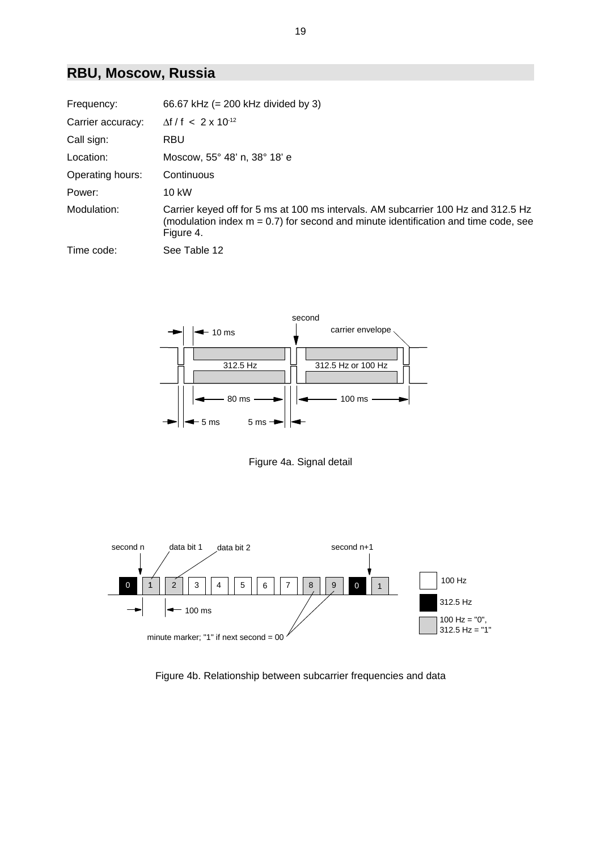### **RBU, Moscow, Russia**

| Frequency:        | 66.67 kHz $(= 200$ kHz divided by 3)                                                                                                                                                    |
|-------------------|-----------------------------------------------------------------------------------------------------------------------------------------------------------------------------------------|
| Carrier accuracy: | $\Delta f / f < 2 \times 10^{-12}$                                                                                                                                                      |
| Call sign:        | <b>RBU</b>                                                                                                                                                                              |
| Location:         | Moscow, 55° 48' n, 38° 18' e                                                                                                                                                            |
| Operating hours:  | Continuous                                                                                                                                                                              |
| Power:            | 10 kW                                                                                                                                                                                   |
| Modulation:       | Carrier keyed off for 5 ms at 100 ms intervals. AM subcarrier 100 Hz and 312.5 Hz<br>(modulation index $m = 0.7$ ) for second and minute identification and time code, see<br>Figure 4. |
| Time code:        | See Table 12                                                                                                                                                                            |



Figure 4a. Signal detail



Figure 4b. Relationship between subcarrier frequencies and data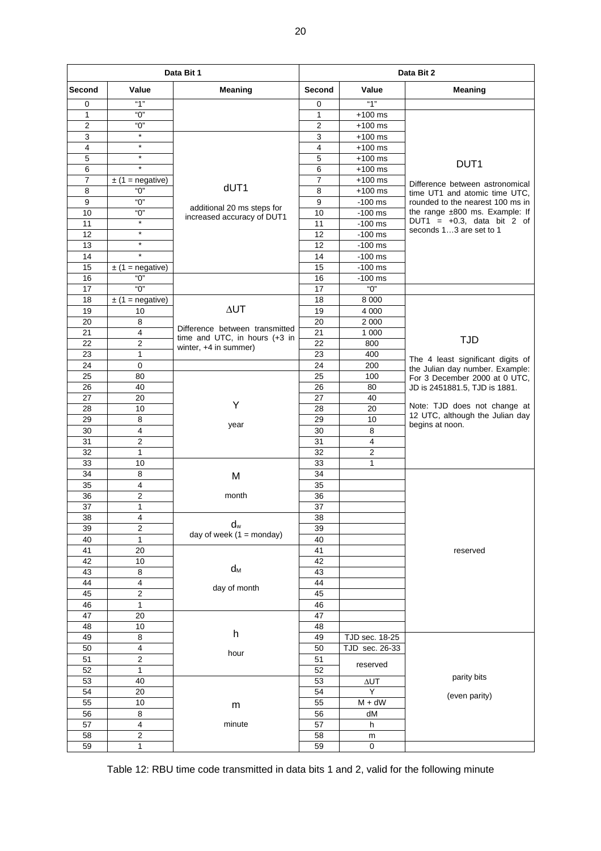| Data Bit 1       |                         |                                                                 |                         | Data Bit 2            |                                                          |  |  |
|------------------|-------------------------|-----------------------------------------------------------------|-------------------------|-----------------------|----------------------------------------------------------|--|--|
| Second           | Value                   | Meaning                                                         | Second                  | Value                 | <b>Meaning</b>                                           |  |  |
| 0                | "1"                     |                                                                 | 0                       | ``1"                  |                                                          |  |  |
| $\mathbf{1}$     | "በ"                     |                                                                 | $\mathbf{1}$            | $+100$ ms             |                                                          |  |  |
| $\overline{2}$   | "ዐ"                     |                                                                 | $\overline{2}$          | $+100$ ms             |                                                          |  |  |
| 3                | $\star$                 |                                                                 | 3                       | $+100$ ms             |                                                          |  |  |
| $\overline{4}$   | $\star$                 |                                                                 | $\overline{\mathbf{4}}$ | $+100$ ms             |                                                          |  |  |
| 5                | $\star$                 |                                                                 | 5                       | $+100$ ms             | DUT <sub>1</sub>                                         |  |  |
| 6                | $\star$                 |                                                                 | 6                       | $+100$ ms             |                                                          |  |  |
| $\overline{7}$   | $\pm$ (1 = negative)    |                                                                 | $\overline{7}$          | $+100$ ms             | Difference between astronomical                          |  |  |
| 8                | "ዐ"                     | dUT1                                                            | 8                       | $+100$ ms             | time UT1 and atomic time UTC,                            |  |  |
| $\boldsymbol{9}$ | "0"                     | additional 20 ms steps for                                      | $\boldsymbol{9}$        | $-100$ ms             | rounded to the nearest 100 ms in                         |  |  |
| 10               | $\overline{O}$          | increased accuracy of DUT1                                      | 10                      | $-100$ ms             | the range ±800 ms. Example: If                           |  |  |
| 11               | $\star$                 |                                                                 | 11                      | $-100$ ms             | DUT1 = $+0.3$ , data bit 2 of<br>seconds 13 are set to 1 |  |  |
| 12               | $\star$                 |                                                                 | 12                      | $-100$ ms             |                                                          |  |  |
| 13               | $\star$                 |                                                                 | 12                      | $-100$ ms             |                                                          |  |  |
| 14               | $\star$                 |                                                                 | 14                      | $-100$ ms             |                                                          |  |  |
| 15               | $\pm$ (1 = negative)    |                                                                 | 15                      | $-100$ ms             |                                                          |  |  |
| 16               | "O"                     |                                                                 | 16                      | $-100$ ms             |                                                          |  |  |
| 17               | "በ"                     |                                                                 | 17                      | "0"                   |                                                          |  |  |
| 18               | $\pm$ (1 = negative)    |                                                                 | 18                      | 8 0 0 0               |                                                          |  |  |
| 19               | 10                      | $\Delta UT$                                                     | 19                      | 4 0 0 0               |                                                          |  |  |
| 20               | 8                       |                                                                 | 20                      | 2 0 0 0               |                                                          |  |  |
| 21               | $\overline{\mathbf{4}}$ | Difference between transmitted<br>time and UTC, in hours (+3 in | 21                      | 1 0 0 0               |                                                          |  |  |
| 22               | $\overline{c}$          | winter, +4 in summer)                                           | 22                      | 800                   | <b>TJD</b>                                               |  |  |
| 23               | $\mathbf{1}$            |                                                                 | 23                      | 400                   | The 4 least significant digits of                        |  |  |
| 24               | $\mathsf 0$             |                                                                 | 24                      | 200                   | the Julian day number. Example:                          |  |  |
| 25               | 80                      |                                                                 | 25                      | 100                   | For 3 December 2000 at 0 UTC,                            |  |  |
| 26               | 40                      |                                                                 | 26                      | 80                    | JD is 2451881.5, TJD is 1881.                            |  |  |
| 27               | 20                      |                                                                 | 27                      | 40                    |                                                          |  |  |
| 28               | 10                      | Υ                                                               | 28                      | 20                    | Note: TJD does not change at                             |  |  |
| 29               | 8                       | year                                                            | 29                      | 10                    | 12 UTC, although the Julian day<br>begins at noon.       |  |  |
| 30               | $\overline{\mathbf{4}}$ |                                                                 | 30                      | 8                     |                                                          |  |  |
| 31               | $\overline{2}$          |                                                                 | 31                      | $\overline{4}$        |                                                          |  |  |
| 32               | $\mathbf{1}$            |                                                                 | 32                      | $\overline{c}$        |                                                          |  |  |
| 33               | 10                      |                                                                 | 33                      | $\mathbf{1}$          |                                                          |  |  |
| 34               | 8                       | M                                                               | 34                      |                       |                                                          |  |  |
| 35               | $\overline{\mathbf{4}}$ |                                                                 | 35                      |                       |                                                          |  |  |
| 36               | $\boldsymbol{2}$        | month                                                           | 36                      |                       |                                                          |  |  |
| 37               | 1                       |                                                                 | 37                      |                       |                                                          |  |  |
| 38               | 4                       |                                                                 | 38                      |                       |                                                          |  |  |
| 39               | $\overline{2}$          | $d_w$<br>day of week $(1 =$ monday)                             | 39                      |                       |                                                          |  |  |
| 40               | $\mathbf{1}$            |                                                                 | 40                      |                       |                                                          |  |  |
| 41               | 20                      |                                                                 | 41                      |                       | reserved                                                 |  |  |
| 42               | 10                      | $\mathsf{d}_{\mathsf{M}}$                                       | 42                      |                       |                                                          |  |  |
| 43               | 8                       |                                                                 | 43                      |                       |                                                          |  |  |
| 44               | $\overline{\mathbf{4}}$ | day of month                                                    | 44                      |                       |                                                          |  |  |
| 45               | $\overline{2}$          |                                                                 | 45                      |                       |                                                          |  |  |
| 46               | $\mathbf{1}$            |                                                                 | 46                      |                       |                                                          |  |  |
| 47               | 20                      |                                                                 | 47                      |                       |                                                          |  |  |
| 48               | $10$                    | h                                                               | 48                      |                       |                                                          |  |  |
| 49               | 8                       |                                                                 | 49                      | <b>TJD</b> sec. 18-25 |                                                          |  |  |
| 50               | 4                       | hour                                                            | 50                      | TJD sec. 26-33        |                                                          |  |  |
| 51               | $\overline{2}$          |                                                                 | 51                      | reserved              |                                                          |  |  |
| 52               | 1                       |                                                                 | 52                      |                       | parity bits                                              |  |  |
| 53               | 40                      |                                                                 | 53                      | $\Delta \text{UT}$    |                                                          |  |  |
| 54               | 20                      |                                                                 | 54                      | Y                     | (even parity)                                            |  |  |
| 55               | 10                      | m                                                               | 55                      | $M + dW$              |                                                          |  |  |
| 56               | 8                       |                                                                 | 56                      | dM                    |                                                          |  |  |
| 57               | 4                       | minute                                                          | 57                      | h                     |                                                          |  |  |
| 58               | 2                       |                                                                 | 58                      | m                     |                                                          |  |  |
| 59               | $\mathbf 1$             |                                                                 | 59                      | $\mathbf 0$           |                                                          |  |  |

Table 12: RBU time code transmitted in data bits 1 and 2, valid for the following minute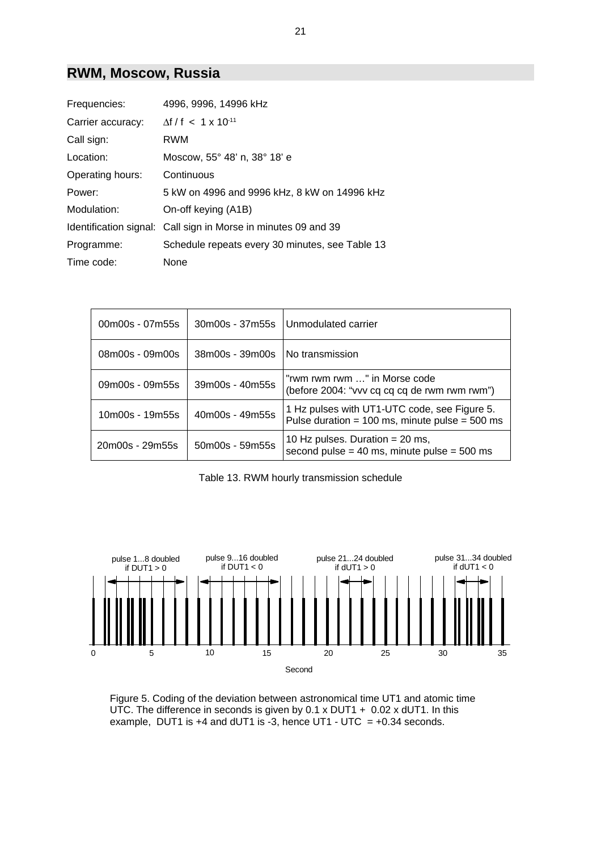#### **RWM, Moscow, Russia**

| Frequencies:      | 4996, 9996, 14996 kHz                                          |
|-------------------|----------------------------------------------------------------|
| Carrier accuracy: | $\Lambda f/f$ < 1 x 10 <sup>-11</sup>                          |
| Call sign:        | RWM                                                            |
| Location:         | Moscow, 55° 48' n, 38° 18' e                                   |
| Operating hours:  | Continuous                                                     |
| Power:            | 5 kW on 4996 and 9996 kHz, 8 kW on 14996 kHz                   |
| Modulation:       | On-off keying (A1B)                                            |
|                   | Identification signal: Call sign in Morse in minutes 09 and 39 |
| Programme:        | Schedule repeats every 30 minutes, see Table 13                |
| Time code:        | None                                                           |

| 00m00s - 07m55s | 30m00s - 37m55s | Unmodulated carrier                                                                                |
|-----------------|-----------------|----------------------------------------------------------------------------------------------------|
| 08m00s - 09m00s | 38m00s - 39m00s | No transmission                                                                                    |
| 09m00s - 09m55s | 39m00s - 40m55s | "rwm rwm rwm " in Morse code<br>(before 2004: "vvv cq cq cq de rwm rwm rwm")                       |
| 10m00s - 19m55s | 40m00s - 49m55s | 1 Hz pulses with UT1-UTC code, see Figure 5.<br>Pulse duration = $100$ ms, minute pulse = $500$ ms |
| 20m00s - 29m55s | 50m00s - 59m55s | 10 Hz pulses. Duration = $20$ ms,<br>second pulse = $40$ ms, minute pulse = $500$ ms               |

Table 13. RWM hourly transmission schedule



Figure 5. Coding of the deviation between astronomical time UT1 and atomic time UTC. The difference in seconds is given by 0.1 x DUT1 + 0.02 x dUT1. In this example, DUT1 is +4 and dUT1 is -3, hence UT1 - UTC =  $+0.34$  seconds.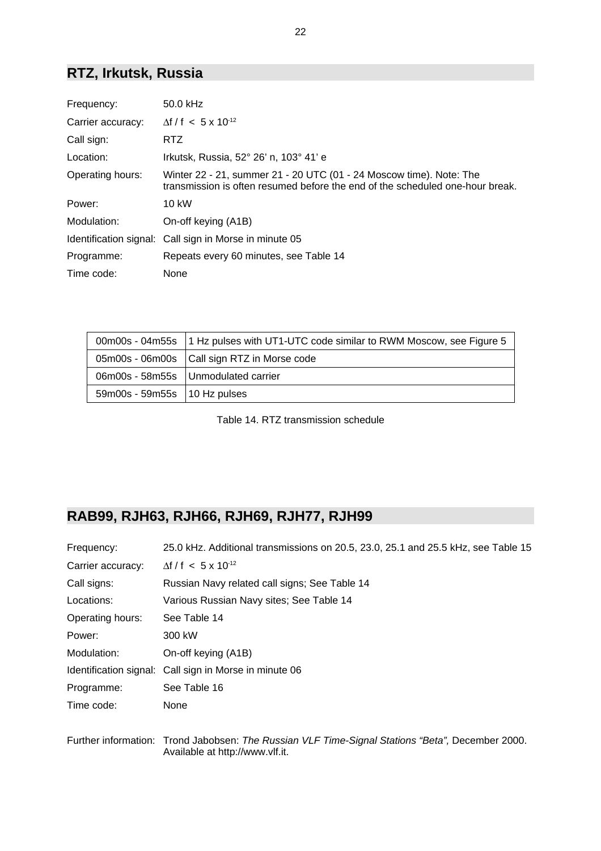### **RTZ, Irkutsk, Russia**

| Frequency:        | 50.0 kHz                                                                                                                                             |
|-------------------|------------------------------------------------------------------------------------------------------------------------------------------------------|
| Carrier accuracy: | $\Delta f / f$ < 5 x 10 <sup>-12</sup>                                                                                                               |
| Call sign:        | RTZ.                                                                                                                                                 |
| Location:         | Irkutsk, Russia, 52° 26' n, 103° 41' e                                                                                                               |
| Operating hours:  | Winter 22 - 21, summer 21 - 20 UTC (01 - 24 Moscow time). Note: The<br>transmission is often resumed before the end of the scheduled one-hour break. |
| Power:            | 10 kW                                                                                                                                                |
| Modulation:       | On-off keying (A1B)                                                                                                                                  |
|                   | Identification signal: Call sign in Morse in minute 05                                                                                               |
| Programme:        | Repeats every 60 minutes, see Table 14                                                                                                               |
| Time code:        | None                                                                                                                                                 |

|                                | 00m00s - 04m55s   1 Hz pulses with UT1-UTC code similar to RWM Moscow, see Figure 5 |
|--------------------------------|-------------------------------------------------------------------------------------|
|                                | 05m00s - 06m00s   Call sign RTZ in Morse code                                       |
|                                | 06m00s - 58m55s   Unmodulated carrier                                               |
| 59m00s - 59m55s   10 Hz pulses |                                                                                     |

Table 14. RTZ transmission schedule

### **RAB99, RJH63, RJH66, RJH69, RJH77, RJH99**

| Frequency:        | 25.0 kHz. Additional transmissions on 20.5, 23.0, 25.1 and 25.5 kHz, see Table 15               |
|-------------------|-------------------------------------------------------------------------------------------------|
| Carrier accuracy: | $\Delta f / f$ < 5 x 10 <sup>-12</sup>                                                          |
| Call signs:       | Russian Navy related call signs; See Table 14                                                   |
| Locations:        | Various Russian Navy sites; See Table 14                                                        |
| Operating hours:  | See Table 14                                                                                    |
| Power:            | 300 kW                                                                                          |
| Modulation:       | On-off keying (A1B)                                                                             |
|                   | Identification signal: Call sign in Morse in minute 06                                          |
| Programme:        | See Table 16                                                                                    |
| Time code:        | None                                                                                            |
|                   |                                                                                                 |
|                   | Eurther information: Trand Johnhoon: The Puesian VI E Time Cianal Ctations "Pate" Desember 2000 |

Further information: Trond Jabobsen: *The Russian VLF Time-Signal Stations "Beta",* December 2000. Available at http://www.vlf.it.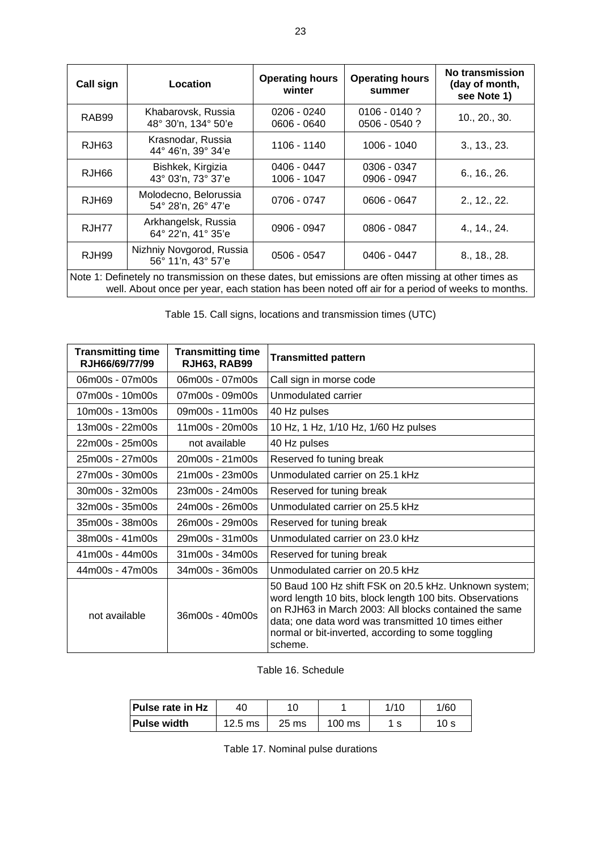| Call sign                                                                                            | Location                                       | <b>Operating hours</b><br>winter | <b>Operating hours</b><br>summer   | <b>No transmission</b><br>(day of month,<br>see Note 1) |
|------------------------------------------------------------------------------------------------------|------------------------------------------------|----------------------------------|------------------------------------|---------------------------------------------------------|
| RAB99                                                                                                | Khabarovsk, Russia<br>48° 30'n, 134° 50'e      | $0206 - 0240$<br>0606 - 0640     | $0106 - 0140$ ?<br>$0506 - 0540$ ? | 10., 20., 30.                                           |
| RJH <sub>63</sub>                                                                                    | Krasnodar, Russia<br>44° 46'n, 39° 34'e        | 1106 - 1140                      | 1006 - 1040                        | 3., 13., 23.                                            |
| RJH66                                                                                                | Bishkek, Kirgizia<br>43° 03'n, 73° 37'e        | 0406 - 0447<br>1006 - 1047       | 0306 - 0347<br>0906 - 0947         | 6., 16., 26.                                            |
| RJH69                                                                                                | Molodecno, Belorussia<br>54° 28'n, 26° 47'e    | 0706 - 0747                      | 0606 - 0647                        | 2., 12., 22.                                            |
| RJH77                                                                                                | Arkhangelsk, Russia<br>64° 22'n, 41° 35'e      | 0906 - 0947                      | 0806 - 0847                        | 4., 14., 24.                                            |
| RJH99                                                                                                | Nizhniy Novgorod, Russia<br>56° 11'n, 43° 57'e | 0506 - 0547                      | 0406 - 0447                        | 8., 18., 28.                                            |
| Note 1: Definetely no transmission on these dates, but emissions are often missing at other times as |                                                |                                  |                                    |                                                         |

well. About once per year, each station has been noted off air for a period of weeks to months.

Table 15. Call signs, locations and transmission times (UTC)

| <b>Transmitting time</b><br>RJH66/69/77/99 | <b>Transmitting time</b><br><b>RJH63, RAB99</b> | <b>Transmitted pattern</b>                                                                                                                                                                                                                                                                         |
|--------------------------------------------|-------------------------------------------------|----------------------------------------------------------------------------------------------------------------------------------------------------------------------------------------------------------------------------------------------------------------------------------------------------|
| 06m00s - 07m00s                            | 06m00s - 07m00s                                 | Call sign in morse code                                                                                                                                                                                                                                                                            |
| 07m00s - 10m00s                            | 07m00s - 09m00s                                 | Unmodulated carrier                                                                                                                                                                                                                                                                                |
| 10m00s - 13m00s                            | 09m00s - 11m00s                                 | 40 Hz pulses                                                                                                                                                                                                                                                                                       |
| 13m00s - 22m00s                            | 11m00s - 20m00s                                 | 10 Hz, 1 Hz, 1/10 Hz, 1/60 Hz pulses                                                                                                                                                                                                                                                               |
| 22m00s - 25m00s                            | not available                                   | 40 Hz pulses                                                                                                                                                                                                                                                                                       |
| 25m00s - 27m00s                            | $20m00s - 21m00s$                               | Reserved fo tuning break                                                                                                                                                                                                                                                                           |
| 27m00s - 30m00s                            | 21m00s - 23m00s                                 | Unmodulated carrier on 25.1 kHz                                                                                                                                                                                                                                                                    |
| 30m00s - 32m00s                            | 23m00s - 24m00s                                 | Reserved for tuning break                                                                                                                                                                                                                                                                          |
| 32m00s - 35m00s                            | 24m00s - 26m00s                                 | Unmodulated carrier on 25.5 kHz                                                                                                                                                                                                                                                                    |
| 35m00s - 38m00s                            | 26m00s - 29m00s                                 | Reserved for tuning break                                                                                                                                                                                                                                                                          |
| 38m00s - 41m00s                            | 29m00s - 31m00s                                 | Unmodulated carrier on 23.0 kHz                                                                                                                                                                                                                                                                    |
| 41m00s - 44m00s                            | 31m00s - 34m00s                                 | Reserved for tuning break                                                                                                                                                                                                                                                                          |
| 44m00s - 47m00s                            | 34m00s - 36m00s                                 | Unmodulated carrier on 20.5 kHz                                                                                                                                                                                                                                                                    |
| not available                              | $36m00s - 40m00s$                               | 50 Baud 100 Hz shift FSK on 20.5 kHz. Unknown system;<br>word length 10 bits, block length 100 bits. Observations<br>on RJH63 in March 2003: All blocks contained the same<br>data; one data word was transmitted 10 times either<br>normal or bit-inverted, according to some toggling<br>scheme. |

#### Table 16. Schedule

| <b>Pulse rate in Hz</b> | -40               |         |                  | 1/10 | 1/60 |
|-------------------------|-------------------|---------|------------------|------|------|
| ⊺Pulse width            | $12.5 \text{ ms}$ | $25$ ms | $100 \text{ ms}$ |      | 10 s |

Table 17. Nominal pulse durations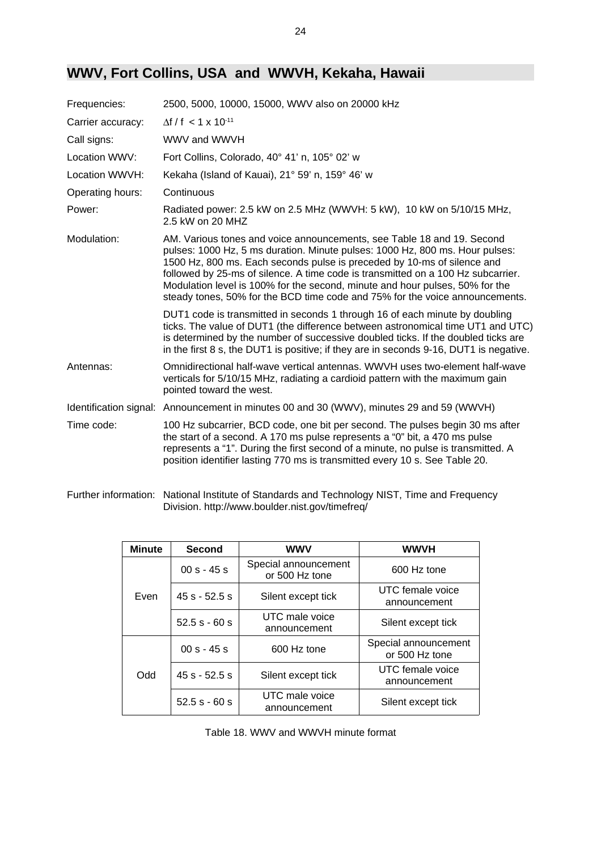### **WWV, Fort Collins, USA and WWVH, Kekaha, Hawaii**

| Frequencies:      | 2500, 5000, 10000, 15000, WWV also on 20000 kHz                                                                                                                                                                                                                                                                                                                                                                                                                                       |
|-------------------|---------------------------------------------------------------------------------------------------------------------------------------------------------------------------------------------------------------------------------------------------------------------------------------------------------------------------------------------------------------------------------------------------------------------------------------------------------------------------------------|
| Carrier accuracy: | $\Delta f / f$ < 1 x 10 <sup>-11</sup>                                                                                                                                                                                                                                                                                                                                                                                                                                                |
| Call signs:       | WWV and WWVH                                                                                                                                                                                                                                                                                                                                                                                                                                                                          |
| Location WWV:     | Fort Collins, Colorado, 40° 41' n, 105° 02' w                                                                                                                                                                                                                                                                                                                                                                                                                                         |
| Location WWVH:    | Kekaha (Island of Kauai), 21° 59' n, 159° 46' w                                                                                                                                                                                                                                                                                                                                                                                                                                       |
| Operating hours:  | Continuous                                                                                                                                                                                                                                                                                                                                                                                                                                                                            |
| Power:            | Radiated power: 2.5 kW on 2.5 MHz (WWVH: 5 kW), 10 kW on 5/10/15 MHz,<br>2.5 kW on 20 MHZ                                                                                                                                                                                                                                                                                                                                                                                             |
| Modulation:       | AM. Various tones and voice announcements, see Table 18 and 19. Second<br>pulses: 1000 Hz, 5 ms duration. Minute pulses: 1000 Hz, 800 ms. Hour pulses:<br>1500 Hz, 800 ms. Each seconds pulse is preceded by 10-ms of silence and<br>followed by 25-ms of silence. A time code is transmitted on a 100 Hz subcarrier.<br>Modulation level is 100% for the second, minute and hour pulses, 50% for the<br>steady tones, 50% for the BCD time code and 75% for the voice announcements. |
|                   | DUT1 code is transmitted in seconds 1 through 16 of each minute by doubling<br>ticks. The value of DUT1 (the difference between astronomical time UT1 and UTC)<br>is determined by the number of successive doubled ticks. If the doubled ticks are<br>in the first 8 s, the DUT1 is positive; if they are in seconds 9-16, DUT1 is negative.                                                                                                                                         |
| Antennas:         | Omnidirectional half-wave vertical antennas. WWVH uses two-element half-wave<br>verticals for 5/10/15 MHz, radiating a cardioid pattern with the maximum gain<br>pointed toward the west.                                                                                                                                                                                                                                                                                             |
|                   | Identification signal: Announcement in minutes 00 and 30 (WWV), minutes 29 and 59 (WWVH)                                                                                                                                                                                                                                                                                                                                                                                              |
| Time code:        | 100 Hz subcarrier, BCD code, one bit per second. The pulses begin 30 ms after<br>the start of a second. A 170 ms pulse represents a "0" bit, a 470 ms pulse<br>represents a "1". During the first second of a minute, no pulse is transmitted. A<br>position identifier lasting 770 ms is transmitted every 10 s. See Table 20.                                                                                                                                                       |

Further information: National Institute of Standards and Technology NIST, Time and Frequency Division. http://www.boulder.nist.gov/timefreq/

| <b>Minute</b> | Second          | <b>WWV</b>                             | <b>WWVH</b>                            |
|---------------|-----------------|----------------------------------------|----------------------------------------|
| Even          | $00 s - 45 s$   | Special announcement<br>or 500 Hz tone | 600 Hz tone                            |
|               | $45s - 52.5s$   | Silent except tick                     | UTC female voice<br>announcement       |
|               | $52.5 s - 60 s$ | UTC male voice<br>announcement         | Silent except tick                     |
| Odd           | $00 s - 45 s$   | 600 Hz tone                            | Special announcement<br>or 500 Hz tone |
|               | $45s - 52.5s$   | Silent except tick                     | UTC female voice<br>announcement       |
|               | $52.5 s - 60 s$ | UTC male voice<br>announcement         | Silent except tick                     |

Table 18. WWV and WWVH minute format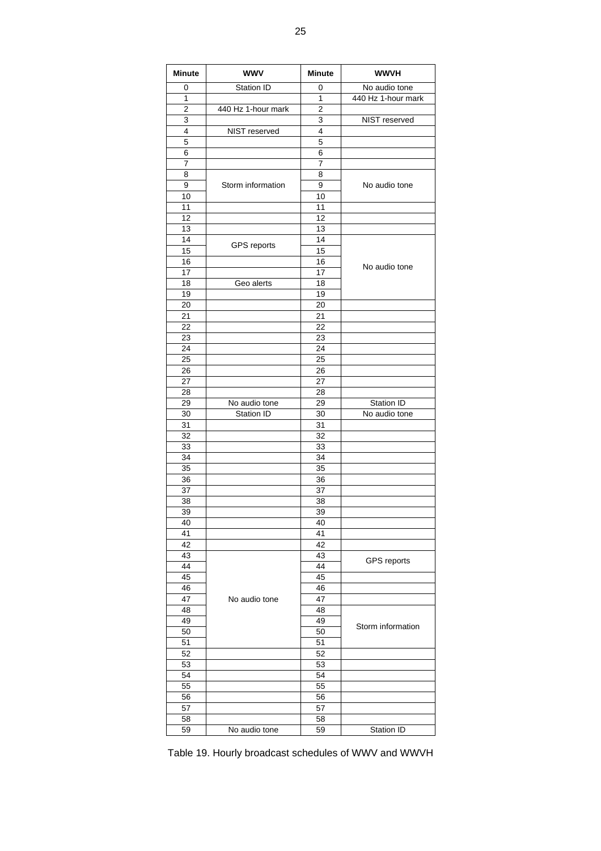| <b>Minute</b>  | <b>WWV</b>         | <b>Minute</b>  | <b>WWVH</b>        |
|----------------|--------------------|----------------|--------------------|
| 0              | Station ID         | 0              | No audio tone      |
| $\overline{1}$ |                    | $\mathbf{1}$   | 440 Hz 1-hour mark |
| 2              | 440 Hz 1-hour mark | $\overline{2}$ |                    |
| 3              |                    | 3              | NIST reserved      |
| 4              | NIST reserved      | 4              |                    |
| 5              |                    | 5              |                    |
| 6              |                    | 6              |                    |
| 7              |                    | $\overline{7}$ |                    |
| 8              |                    | 8              |                    |
| 9              | Storm information  | 9              | No audio tone      |
| 10             |                    | 10             |                    |
| 11             |                    | 11             |                    |
| 12             |                    | 12             |                    |
| 13             |                    | 13             |                    |
| 14             | <b>GPS</b> reports | 14             |                    |
| 15             |                    | 15             |                    |
| 16             |                    | 16             | No audio tone      |
| 17             |                    | 17             |                    |
| 18             | Geo alerts         | 18             |                    |
| 19             |                    | 19             |                    |
| 20             |                    | 20             |                    |
| 21             |                    | 21             |                    |
| 22             |                    | 22             |                    |
| 23             |                    | 23             |                    |
| 24             |                    | 24             |                    |
| 25             |                    | 25             |                    |
| 26             |                    | 26             |                    |
| 27             |                    | 27             |                    |
| 28             |                    | 28             |                    |
| 29             | No audio tone      | 29             | Station ID         |
| 30             | Station ID         | 30             | No audio tone      |
| 31             |                    | 31             |                    |
| 32             |                    | 32             |                    |
| 33<br>34       |                    | 33<br>34       |                    |
| 35             |                    | 35             |                    |
| 36             |                    | 36             |                    |
| 37             |                    | 37             |                    |
| 38             |                    | 38             |                    |
| 39             |                    | 39             |                    |
| 40             |                    | 40             |                    |
| 41             |                    | 41             |                    |
| 42             |                    | 42             |                    |
| 43             |                    | 43             |                    |
| 44             |                    | 44             | GPS reports        |
| 45             |                    | 45             |                    |
| 46             |                    | 46             |                    |
| 47             | No audio tone      | 47             |                    |
| 48             |                    | 48             |                    |
| 49             |                    | 49             |                    |
| 50             |                    | 50             | Storm information  |
| 51             |                    | 51             |                    |
| 52             |                    | 52             |                    |
| 53             |                    | 53             |                    |
| 54             |                    | 54             |                    |
| 55             |                    | 55             |                    |
| 56             |                    | 56             |                    |
| 57             |                    | 57             |                    |
| 58             |                    | 58             |                    |
| 59             | No audio tone      | 59             | Station ID         |

Table 19. Hourly broadcast schedules of WWV and WWVH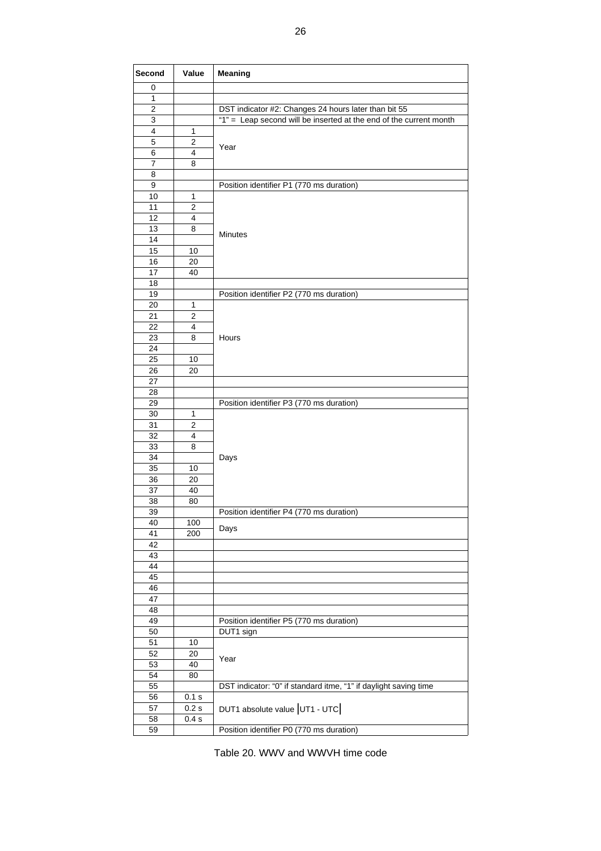| Second         | Value          | Meaning                                                            |
|----------------|----------------|--------------------------------------------------------------------|
| 0              |                |                                                                    |
| 1              |                |                                                                    |
| $\overline{2}$ |                | DST indicator #2: Changes 24 hours later than bit 55               |
| 3              |                | "1" = Leap second will be inserted at the end of the current month |
| 4              | 1              |                                                                    |
| 5              | $\overline{2}$ | Year                                                               |
| 6              | 4              |                                                                    |
| 7              | 8              |                                                                    |
| 8              |                |                                                                    |
| 9              |                | Position identifier P1 (770 ms duration)                           |
| 10             | 1              |                                                                    |
| 11             | 2              |                                                                    |
| 12             | 4              |                                                                    |
| 13             | 8              | <b>Minutes</b>                                                     |
| 14             |                |                                                                    |
| 15             | 10             |                                                                    |
| 16             | 20             |                                                                    |
| 17             | 40             |                                                                    |
| 18             |                |                                                                    |
| 19             |                | Position identifier P2 (770 ms duration)                           |
| 20             | 1              |                                                                    |
| 21             | 2              |                                                                    |
| 22             | 4              |                                                                    |
| 23             | 8              | Hours                                                              |
| 24             |                |                                                                    |
| 25             | 10             |                                                                    |
| 26             | 20             |                                                                    |
| 27             |                |                                                                    |
| 28             |                |                                                                    |
| 29             |                | Position identifier P3 (770 ms duration)                           |
| 30             | 1              |                                                                    |
| 31             | 2              |                                                                    |
| 32             | 4              |                                                                    |
| 33             | 8              |                                                                    |
| 34             |                | Days                                                               |
| 35             | 10             |                                                                    |
| 36             | 20             |                                                                    |
| 37             | 40             |                                                                    |
| 38             | 80             |                                                                    |
| 39             |                | Position identifier P4 (770 ms duration)                           |
| 40<br>41       | 100<br>200     | Days                                                               |
| 42             |                |                                                                    |
| 43             |                |                                                                    |
| 44             |                |                                                                    |
| 45             |                |                                                                    |
| 46             |                |                                                                    |
| 47             |                |                                                                    |
| 48             |                |                                                                    |
| 49             |                | Position identifier P5 (770 ms duration)                           |
| 50             |                | DUT1 sign                                                          |
| 51             | 10             |                                                                    |
| 52             | 20             |                                                                    |
| 53             | 40             | Year                                                               |
| 54             | 80             |                                                                    |
| 55             |                | DST indicator: "0" if standard itme, "1" if daylight saving time   |
| 56             | 0.1 s          |                                                                    |
| 57             | 0.2s           | DUT1 absolute value UT1 - UTC                                      |
| 58             | 0.4 s          |                                                                    |
| 59             |                | Position identifier P0 (770 ms duration)                           |

Table 20. WWV and WWVH time code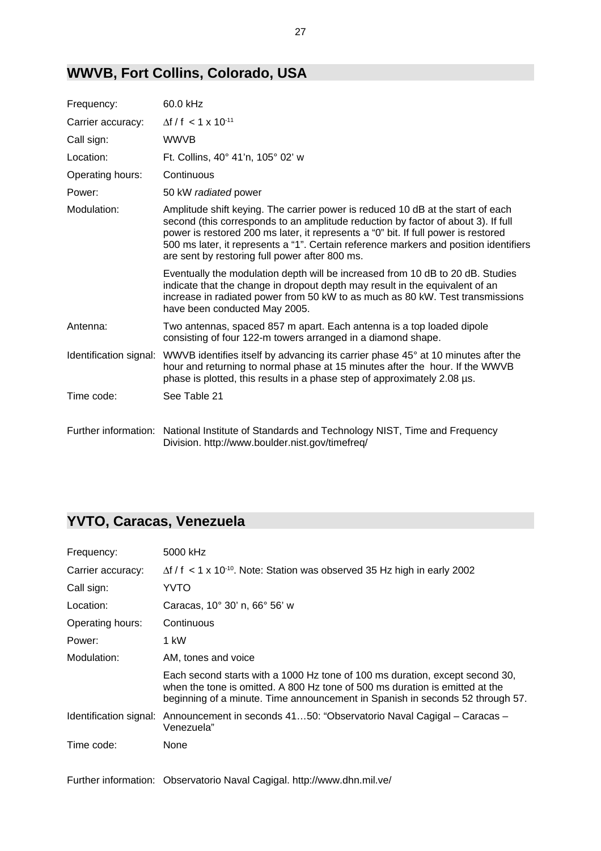### **WWVB, Fort Collins, Colorado, USA**

| Frequency:             | 60.0 kHz                                                                                                                                                                                                                                                                                                                                                                                              |
|------------------------|-------------------------------------------------------------------------------------------------------------------------------------------------------------------------------------------------------------------------------------------------------------------------------------------------------------------------------------------------------------------------------------------------------|
| Carrier accuracy:      | $\Delta f / f$ < 1 x 10 <sup>-11</sup>                                                                                                                                                                                                                                                                                                                                                                |
| Call sign:             | <b>WWVB</b>                                                                                                                                                                                                                                                                                                                                                                                           |
| Location:              | Ft. Collins, 40° 41'n, 105° 02' w                                                                                                                                                                                                                                                                                                                                                                     |
| Operating hours:       | Continuous                                                                                                                                                                                                                                                                                                                                                                                            |
| Power:                 | 50 kW radiated power                                                                                                                                                                                                                                                                                                                                                                                  |
| Modulation:            | Amplitude shift keying. The carrier power is reduced 10 dB at the start of each<br>second (this corresponds to an amplitude reduction by factor of about 3). If full<br>power is restored 200 ms later, it represents a "0" bit. If full power is restored<br>500 ms later, it represents a "1". Certain reference markers and position identifiers<br>are sent by restoring full power after 800 ms. |
|                        | Eventually the modulation depth will be increased from 10 dB to 20 dB. Studies<br>indicate that the change in dropout depth may result in the equivalent of an<br>increase in radiated power from 50 kW to as much as 80 kW. Test transmissions<br>have been conducted May 2005.                                                                                                                      |
| Antenna:               | Two antennas, spaced 857 m apart. Each antenna is a top loaded dipole<br>consisting of four 122-m towers arranged in a diamond shape.                                                                                                                                                                                                                                                                 |
| Identification signal: | WWVB identifies itself by advancing its carrier phase 45° at 10 minutes after the<br>hour and returning to normal phase at 15 minutes after the hour. If the WWVB<br>phase is plotted, this results in a phase step of approximately 2.08 us.                                                                                                                                                         |
| Time code:             | See Table 21                                                                                                                                                                                                                                                                                                                                                                                          |
|                        | Further information: National Institute of Standards and Technology NIST, Time and Frequency<br>Division. http://www.boulder.nist.gov/timefreq/                                                                                                                                                                                                                                                       |

# **YVTO, Caracas, Venezuela**

| Frequency:        | 5000 kHz                                                                                                                                                                                                                                      |
|-------------------|-----------------------------------------------------------------------------------------------------------------------------------------------------------------------------------------------------------------------------------------------|
| Carrier accuracy: | $\Delta f / f$ < 1 x 10 <sup>-10</sup> . Note: Station was observed 35 Hz high in early 2002                                                                                                                                                  |
| Call sign:        | YVTO                                                                                                                                                                                                                                          |
| Location:         | Caracas, 10° 30' n, 66° 56' w                                                                                                                                                                                                                 |
| Operating hours:  | Continuous                                                                                                                                                                                                                                    |
| Power:            | 1 kW                                                                                                                                                                                                                                          |
| Modulation:       | AM, tones and voice                                                                                                                                                                                                                           |
|                   | Each second starts with a 1000 Hz tone of 100 ms duration, except second 30,<br>when the tone is omitted. A 800 Hz tone of 500 ms duration is emitted at the<br>beginning of a minute. Time announcement in Spanish in seconds 52 through 57. |
|                   | Identification signal: Announcement in seconds 4150: "Observatorio Naval Cagigal – Caracas –<br>Venezuela"                                                                                                                                    |
| Time code:        | None                                                                                                                                                                                                                                          |

Further information: Observatorio Naval Cagigal. http://www.dhn.mil.ve/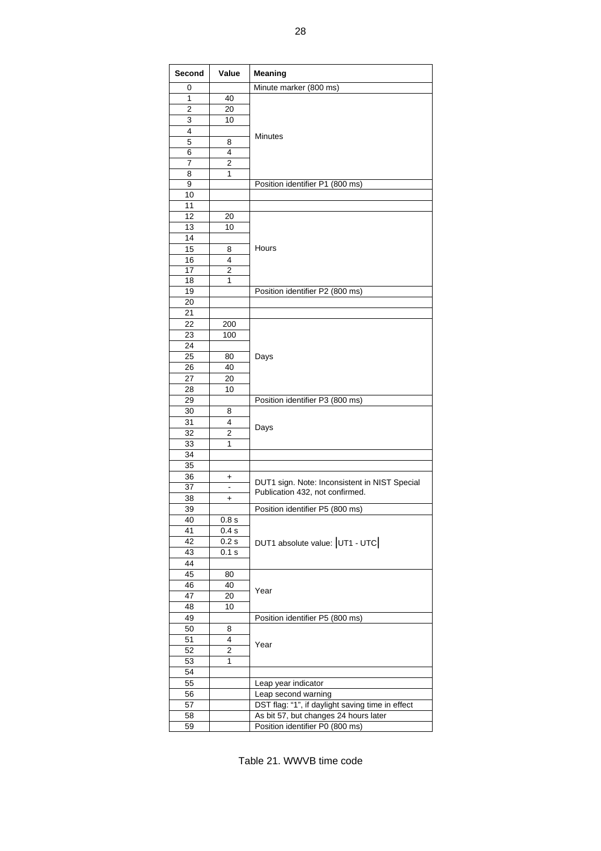| Second | Value          | <b>Meaning</b>                                   |
|--------|----------------|--------------------------------------------------|
| 0      |                | Minute marker (800 ms)                           |
| 1      | 40             |                                                  |
| 2      | 20             |                                                  |
| 3      | 10             |                                                  |
| 4      |                |                                                  |
| 5      | 8              | Minutes                                          |
| 6      | 4              |                                                  |
| 7      | 2              |                                                  |
|        |                |                                                  |
| 8<br>9 | 1              |                                                  |
| 10     |                | Position identifier P1 (800 ms)                  |
|        |                |                                                  |
| 11     |                |                                                  |
| 12     | 20             |                                                  |
| 13     | 10             |                                                  |
| 14     |                |                                                  |
| 15     | 8              | Hours                                            |
| 16     | 4              |                                                  |
| 17     | 2              |                                                  |
| 18     | 1              |                                                  |
| 19     |                | Position identifier P2 (800 ms)                  |
| 20     |                |                                                  |
| 21     |                |                                                  |
| 22     | 200            |                                                  |
| 23     | 100            |                                                  |
| 24     |                |                                                  |
| 25     | 80             | Days                                             |
| 26     | 40             |                                                  |
|        |                |                                                  |
| 27     | 20             |                                                  |
| 28     | 10             |                                                  |
| 29     |                | Position identifier P3 (800 ms)                  |
| 30     | 8              |                                                  |
| 31     | 4              | Days                                             |
| 32     | $\overline{2}$ |                                                  |
| 33     | 1              |                                                  |
| 34     |                |                                                  |
| 35     |                |                                                  |
| 36     | +              |                                                  |
| 37     | -              | DUT1 sign. Note: Inconsistent in NIST Special    |
| 38     | +              | Publication 432, not confirmed.                  |
| 39     |                | Position identifier P5 (800 ms)                  |
| 40     | 0.8 s          |                                                  |
| 41     | 0.4 s          |                                                  |
| 42     | 0.2s           |                                                  |
| 43     | 0.1 s          | DUT1 absolute value: UT1 - UTC                   |
|        |                |                                                  |
| 44     |                |                                                  |
| 45     | 80             |                                                  |
| 46     | 40             | Year                                             |
| 47     | 20             |                                                  |
| 48     | 10             |                                                  |
| 49     |                | Position identifier P5 (800 ms)                  |
| 50     | 8              |                                                  |
| 51     | 4              | Year                                             |
| 52     | 2              |                                                  |
| 53     | 1              |                                                  |
| 54     |                |                                                  |
| 55     |                | Leap year indicator                              |
| 56     |                | Leap second warning                              |
| 57     |                | DST flag: "1", if daylight saving time in effect |
| 58     |                | As bit 57, but changes 24 hours later            |
| 59     |                | Position identifier P0 (800 ms)                  |
|        |                |                                                  |

Table 21. WWVB time code